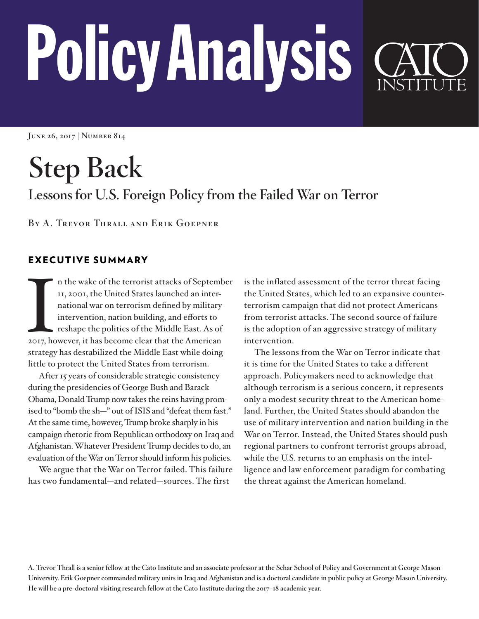# Policy Analysis

**June 26, 2017 | Number 814**

**Step Back Lessons for U.S. Foreign Policy from the Failed War on Terror** 

**By A. Trevor Thrall and Erik Goepner** 

# EXECUTIVE SUMMARY

 $\sum_{2017, \text{ho}}$ n the wake of the terrorist attacks of September 11, 2001, the United States launched an international war on terrorism defined by military intervention, nation building, and efforts to reshape the politics of the Middle East. As of 2017, however, it has become clear that the American strategy has destabilized the Middle East while doing little to protect the United States from terrorism.

After 15 years of considerable strategic consistency during the presidencies of George Bush and Barack Obama, Donald Trump now takes the reins having promised to "bomb the sh—" out of ISIS and "defeat them fast." At the same time, however, Trump broke sharply in his campaign rhetoric from Republican orthodoxy on Iraq and Afghanistan. Whatever President Trump decides to do, an evaluation of the War on Terror should inform his policies.

We argue that the War on Terror failed. This failure has two fundamental—and related—sources. The first

is the inflated assessment of the terror threat facing the United States, which led to an expansive counterterrorism campaign that did not protect Americans from terrorist attacks. The second source of failure is the adoption of an aggressive strategy of military intervention.

The lessons from the War on Terror indicate that it is time for the United States to take a different approach. Policymakers need to acknowledge that although terrorism is a serious concern, it represents only a modest security threat to the American homeland. Further, the United States should abandon the use of military intervention and nation building in the War on Terror. Instead, the United States should push regional partners to confront terrorist groups abroad, while the U.S. returns to an emphasis on the intelligence and law enforcement paradigm for combating the threat against the American homeland.

**A. Trevor Thrall is a senior fellow at the Cato Institute and an associate professor at the Schar School of Policy and Government at George Mason University. Erik Goepner commanded military units in Iraq and Afghanistan and is a doctoral candidate in public policy at George Mason University. He will be a pre-doctoral visiting research fellow at the Cato Institute during the 2017–18 academic year.**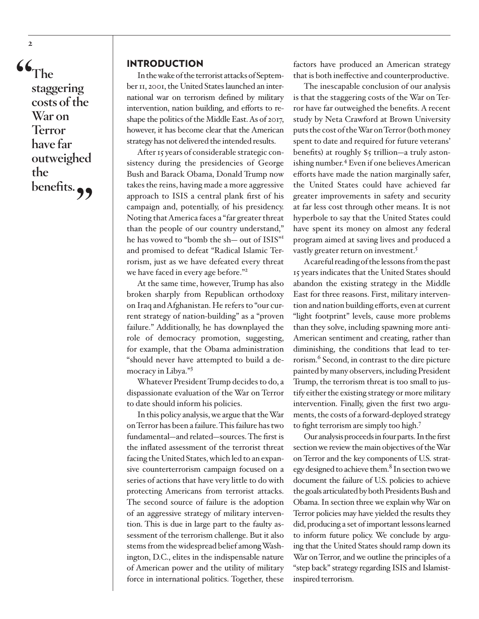**"The staggering costs of the War on Terror have far outweighed the**  benefits.<sub>?</sub>

**2**

#### INTRODUCTION

In the wake of the terrorist attacks of September 11, 2001, the United States launched an international war on terrorism defined by military intervention, nation building, and efforts to reshape the politics of the Middle East. As of 2017, however, it has become clear that the American strategy has not delivered the intended results.

After 15 years of considerable strategic consistency during the presidencies of George Bush and Barack Obama, Donald Trump now takes the reins, having made a more aggressive approach to ISIS a central plank first of his campaign and, potentially, of his presidency. Noting that America faces a "far greater threat than the people of our country understand," he has vowed to "bomb the sh— out of ISIS"[1](#page-19-0) and promised to defeat "Radical Islamic Terrorism, just as we have defeated every threat we have faced in every age before."<sup>2</sup>

At the same time, however, Trump has also broken sharply from Republican orthodoxy on Iraq and Afghanistan. He refers to "our current strategy of nation-building" as a "proven failure." Additionally, he has downplayed the role of democracy promotion, suggesting, for example, that the Obama administration "should never have attempted to build a democracy in Libya."[3](#page-19-2)

Whatever President Trump decides to do, a dispassionate evaluation of the War on Terror to date should inform his policies.

In this policy analysis, we argue that the War on Terror has been a failure. This failure has two fundamental—and related—sources. The first is the inflated assessment of the terrorist threat facing the United States, which led to an expansive counterterrorism campaign focused on a series of actions that have very little to do with protecting Americans from terrorist attacks. The second source of failure is the adoption of an aggressive strategy of military intervention. This is due in large part to the faulty assessment of the terrorism challenge. But it also stems from the widespread belief among Washington, D.C., elites in the indispensable nature of American power and the utility of military force in international politics. Together, these

factors have produced an American strategy that is both ineffective and counterproductive.

The inescapable conclusion of our analysis is that the staggering costs of the War on Terror have far outweighed the benefits. A recent study by Neta Crawford at Brown University puts the cost of the War on Terror (both money spent to date and required for future veterans' benefits) at roughly \$5 trillion—a truly astonishing number.[4](#page-19-3) Even if one believes American efforts have made the nation marginally safer, the United States could have achieved far greater improvements in safety and security at far less cost through other means. It is not hyperbole to say that the United States could have spent its money on almost any federal program aimed at saving lives and produced a vastly greater return on investment.<sup>[5](#page-19-4)</sup>

A careful reading of the lessons from the past 15 years indicates that the United States should abandon the existing strategy in the Middle East for three reasons. First, military intervention and nation building efforts, even at current "light footprint" levels, cause more problems than they solve, including spawning more anti-American sentiment and creating, rather than diminishing, the conditions that lead to terrorism.<sup>6</sup> Second, in contrast to the dire picture painted by many observers, including President Trump, the terrorism threat is too small to justify either the existing strategy or more military intervention. Finally, given the first two arguments, the costs of a forward-deployed strategy to fight terrorism are simply too high[.7](#page-20-1)

Our analysis proceeds in four parts. In the first section we review the main objectives of the War on Terror and the key components of U.S. strategy designed to achieve them.<sup>8</sup> In section two we document the failure of U.S. policies to achieve the goals articulated by both Presidents Bush and Obama. In section three we explain why War on Terror policies may have yielded the results they did, producing a set of important lessons learned to inform future policy. We conclude by arguing that the United States should ramp down its War on Terror, and we outline the principles of a "step back" strategy regarding ISIS and Islamistinspired terrorism.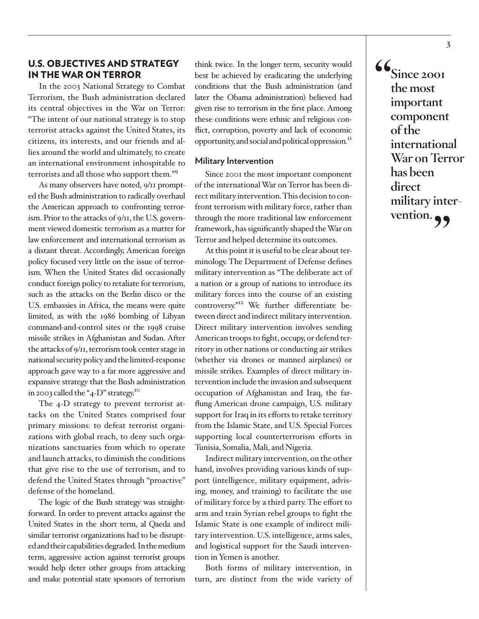#### U.S. OBJECTIVES AND STRATEGY IN THE WAR ON TERROR

In the 2003 National Strategy to Combat Terrorism, the Bush administration declared its central objectives in the War on Terror: "The intent of our national strategy is to stop terrorist attacks against the United States, its citizens, its interests, and our friends and allies around the world and ultimately, to create an international environment inhospitable to terrorists and all those who support them."[9](#page-20-3)

As many observers have noted, 9/11 prompted the Bush administration to radically overhaul the American approach to confronting terrorism. Prior to the attacks of 9/11, the U.S. government viewed domestic terrorism as a matter for law enforcement and international terrorism as a distant threat. Accordingly, American foreign policy focused very little on the issue of terrorism. When the United States did occasionally conduct foreign policy to retaliate for terrorism, such as the attacks on the Berlin disco or the U.S. embassies in Africa, the means were quite limited, as with the 1986 bombing of Libyan command-and-control sites or the 1998 cruise missile strikes in Afghanistan and Sudan. After the attacks of 9/11, terrorism took center stage in national security policy and the limited-response approach gave way to a far more aggressive and expansive strategy that the Bush administration in 2003 called the "4-D" strategy.[10](#page-20-4)

The 4-D strategy to prevent terrorist attacks on the United States comprised four primary missions: to defeat terrorist organizations with global reach, to deny such organizations sanctuaries from which to operate and launch attacks, to diminish the conditions that give rise to the use of terrorism, and to defend the United States through "proactive" defense of the homeland.

The logic of the Bush strategy was straightforward. In order to prevent attacks against the United States in the short term, al Qaeda and similar terrorist organizations had to be disrupted and their capabilities degraded. In the medium term, aggressive action against terrorist groups would help deter other groups from attacking and make potential state sponsors of terrorism think twice. In the longer term, security would best be achieved by eradicating the underlying conditions that the Bush administration (and later the Obama administration) believed had given rise to terrorism in the first place. Among these conditions were ethnic and religious conflict, corruption, poverty and lack of economic opportunity, and social and political oppression.<sup>11</sup>

#### **Military Intervention**

Since 2001 the most important component of the international War on Terror has been direct military intervention. This decision to confront terrorism with military force, rather than through the more traditional law enforcement framework, has significantly shaped the War on Terror and helped determine its outcomes.

At this point it is useful to be clear about terminology. The Department of Defense defines military intervention as "The deliberate act of a nation or a group of nations to introduce its military forces into the course of an existing controversy."[12](#page-20-6) We further differentiate between direct and indirect military intervention. Direct military intervention involves sending American troops to fight, occupy, or defend territory in other nations or conducting air strikes (whether via drones or manned airplanes) or missile strikes. Examples of direct military intervention include the invasion and subsequent occupation of Afghanistan and Iraq, the farflung American drone campaign, U.S. military support for Iraq in its efforts to retake territory from the Islamic State, and U.S. Special Forces supporting local counterterrorism efforts in Tunisia, Somalia, Mali, and Nigeria.

Indirect military intervention, on the other hand, involves providing various kinds of support (intelligence, military equipment, advising, money, and training) to facilitate the use of military force by a third party. The effort to arm and train Syrian rebel groups to fight the Islamic State is one example of indirect military intervention. U.S. intelligence, arms sales, and logistical support for the Saudi intervention in Yemen is another.

Both forms of military intervention, in turn, are distinct from the wide variety of **"Since 2001 the most important component of the international War on Terror has been direct military intervention."**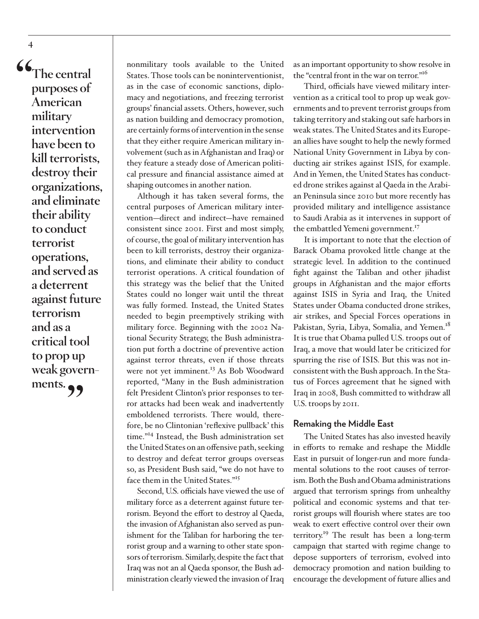**"The central purposes of American military intervention have been to kill terrorists, destroy their organizations, and eliminate their ability to conduct terrorist operations, and served as a deterrent against future terrorism and as a critical tool to prop up weak govern**ments.

**4**

nonmilitary tools available to the United States. Those tools can be noninterventionist, as in the case of economic sanctions, diplomacy and negotiations, and freezing terrorist groups' financial assets. Others, however, such as nation building and democracy promotion, are certainly forms of intervention in the sense that they either require American military involvement (such as in Afghanistan and Iraq) or they feature a steady dose of American political pressure and financial assistance aimed at shaping outcomes in another nation.

Although it has taken several forms, the central purposes of American military intervention—direct and indirect—have remained consistent since 2001. First and most simply, of course, the goal of military intervention has been to kill terrorists, destroy their organizations, and eliminate their ability to conduct terrorist operations. A critical foundation of this strategy was the belief that the United States could no longer wait until the threat was fully formed. Instead, the United States needed to begin preemptively striking with military force. Beginning with the 2002 National Security Strategy, the Bush administration put forth a doctrine of preventive action against terror threats, even if those threats were not yet imminent.<sup>13</sup> As Bob Woodward reported, "Many in the Bush administration felt President Clinton's prior responses to terror attacks had been weak and inadvertently emboldened terrorists. There would, therefore, be no Clintonian 'reflexive pullback' this time.["14](#page-20-8) Instead, the Bush administration set the United States on an offensive path, seeking to destroy and defeat terror groups overseas so, as President Bush said, "we do not have to face them in the United States."[15](#page-20-9)

Second, U.S. officials have viewed the use of military force as a deterrent against future terrorism. Beyond the effort to destroy al Qaeda, the invasion of Afghanistan also served as punishment for the Taliban for harboring the terrorist group and a warning to other state sponsors of terrorism. Similarly, despite the fact that Iraq was not an al Qaeda sponsor, the Bush administration clearly viewed the invasion of Iraq

as an important opportunity to show resolve in the "central front in the war on terror."<sup>[16](#page-20-10)</sup>

Third, officials have viewed military intervention as a critical tool to prop up weak governments and to prevent terrorist groups from taking territory and staking out safe harbors in weak states. The United States and its European allies have sought to help the newly formed National Unity Government in Libya by conducting air strikes against ISIS, for example. And in Yemen, the United States has conducted drone strikes against al Qaeda in the Arabian Peninsula since 2010 but more recently has provided military and intelligence assistance to Saudi Arabia as it intervenes in support of the embattled Yemeni government.<sup>[17](#page-21-0)</sup>

It is important to note that the election of Barack Obama provoked little change at the strategic level. In addition to the continued fight against the Taliban and other jihadist groups in Afghanistan and the major efforts against ISIS in Syria and Iraq, the United States under Obama conducted drone strikes, air strikes, and Special Forces operations in Pakistan, Syria, Libya, Somalia, and Yemen.<sup>18</sup> It is true that Obama pulled U.S. troops out of Iraq, a move that would later be criticized for spurring the rise of ISIS. But this was not inconsistent with the Bush approach. In the Status of Forces agreement that he signed with Iraq in 2008, Bush committed to withdraw all U.S. troops by 2011.

#### **Remaking the Middle East**

The United States has also invested heavily in efforts to remake and reshape the Middle East in pursuit of longer-run and more fundamental solutions to the root causes of terrorism. Both the Bush and Obama administrations argued that terrorism springs from unhealthy political and economic systems and that terrorist groups will flourish where states are too weak to exert effective control over their own territory[.19](#page-21-2) The result has been a long-term campaign that started with regime change to depose supporters of terrorism, evolved into democracy promotion and nation building to encourage the development of future allies and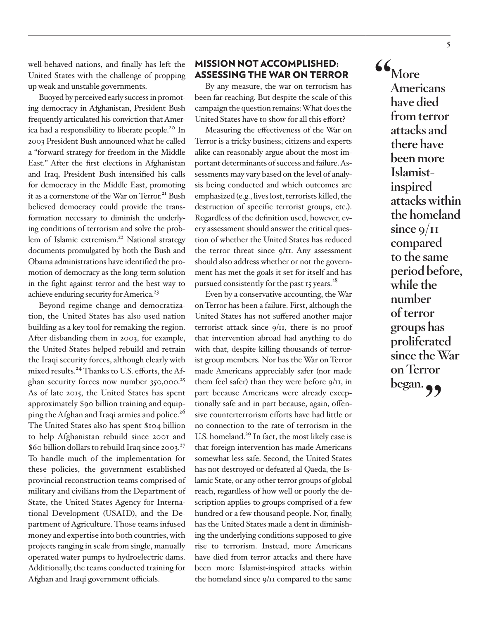well-behaved nations, and finally has left the United States with the challenge of propping up weak and unstable governments.

Buoyed by perceived early success in promoting democracy in Afghanistan, President Bush frequently articulated his conviction that America had a responsibility to liberate people.<sup>20</sup> In 2003 President Bush announced what he called a "forward strategy for freedom in the Middle East." After the first elections in Afghanistan and Iraq, President Bush intensified his calls for democracy in the Middle East, promoting it as a cornerstone of the War on Terror.<sup>21</sup> Bush believed democracy could provide the transformation necessary to diminish the underlying conditions of terrorism and solve the problem of Islamic extremism.<sup>22</sup> National strategy documents promulgated by both the Bush and Obama administrations have identified the promotion of democracy as the long-term solution in the fight against terror and the best way to achieve enduring security for America.<sup>[23](#page-21-6)</sup>

Beyond regime change and democratization, the United States has also used nation building as a key tool for remaking the region. After disbanding them in 2003, for example, the United States helped rebuild and retrain the Iraqi security forces, although clearly with mixed results.<sup>24</sup> Thanks to U.S. efforts, the Afghan security forces now number  $350,000^{25}$ As of late 2015, the United States has spent approximately \$90 billion training and equipping the Afghan and Iraqi armies and police.<sup>26</sup> The United States also has spent \$104 billion to help Afghanistan rebuild since 2001 and \$60 billion dollars to rebuild Iraq since 2003. $^{27}$  $^{27}$  $^{27}$ To handle much of the implementation for these policies, the government established provincial reconstruction teams comprised of military and civilians from the Department of State, the United States Agency for International Development (USAID), and the Department of Agriculture. Those teams infused money and expertise into both countries, with projects ranging in scale from single, manually operated water pumps to hydroelectric dams. Additionally, the teams conducted training for Afghan and Iraqi government officials.

#### MISSION NOT ACCOMPLISHED: ASSESSING THE WAR ON TERROR

By any measure, the war on terrorism has been far-reaching. But despite the scale of this campaign the question remains: What does the United States have to show for all this effort?

Measuring the effectiveness of the War on Terror is a tricky business; citizens and experts alike can reasonably argue about the most important determinants of success and failure. Assessments may vary based on the level of analysis being conducted and which outcomes are emphasized (e.g., lives lost, terrorists killed, the destruction of specific terrorist groups, etc.). Regardless of the definition used, however, every assessment should answer the critical question of whether the United States has reduced the terror threat since  $9/11$ . Any assessment should also address whether or not the government has met the goals it set for itself and has pursued consistently for the past 15 years. $^{28}$  $^{28}$  $^{28}$ 

Even by a conservative accounting, the War on Terror has been a failure. First, although the United States has not suffered another major terrorist attack since 9/11, there is no proof that intervention abroad had anything to do with that, despite killing thousands of terrorist group members. Nor has the War on Terror made Americans appreciably safer (nor made them feel safer) than they were before 9/11, in part because Americans were already exceptionally safe and in part because, again, offensive counterterrorism efforts have had little or no connection to the rate of terrorism in the U.S. homeland.<sup>[29](#page-21-12)</sup> In fact, the most likely case is that foreign intervention has made Americans somewhat less safe. Second, the United States has not destroyed or defeated al Qaeda, the Islamic State, or any other terror groups of global reach, regardless of how well or poorly the description applies to groups comprised of a few hundred or a few thousand people. Nor, finally, has the United States made a dent in diminishing the underlying conditions supposed to give rise to terrorism. Instead, more Americans have died from terror attacks and there have been more Islamist-inspired attacks within the homeland since 9/11 compared to the same

**"More Americans have died from terror attacks and there have been more Islamistinspired attacks within the homeland since 9/11 compared to the same period before, while the number of terror groups has proliferated since the War on Terror**  began.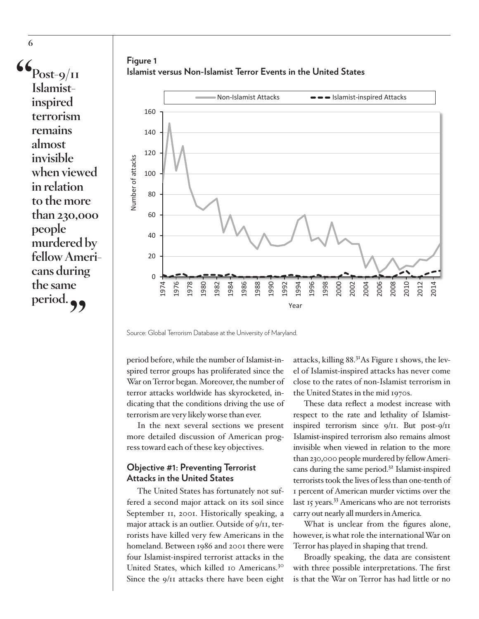$\mathbf{G}_{Post-9/11}$ **Islamistinspired terrorism remains almost invisible when viewed in relation to the more than 230,000 people murdered by fellow Americans during the same**  period.<sup>99</sup>

**6**





Source: Global Terrorism Database at the University of Maryland.

period before, while the number of Islamist-inspired terror groups has proliferated since the War on Terror began. Moreover, the number of terror attacks worldwide has skyrocketed, indicating that the conditions driving the use of terrorism are very likely worse than ever.

In the next several sections we present more detailed discussion of American progress toward each of these key objectives.

#### **Objective #1: Preventing Terrorist Attacks in the United States**

The United States has fortunately not suffered a second major attack on its soil since September 11, 2001. Historically speaking, a major attack is an outlier. Outside of 9/11, terrorists have killed very few Americans in the homeland. Between 1986 and 2001 there were four Islamist-inspired terrorist attacks in the United States, which killed 10 Americans.[30](#page-21-13) Since the 9/11 attacks there have been eight

attacks, killing 88.[31A](#page-21-14)s Figure 1 shows, the level of Islamist-inspired attacks has never come close to the rates of non-Islamist terrorism in the United States in the mid 1970s.

These data reflect a modest increase with respect to the rate and lethality of Islamistinspired terrorism since 9/11. But post-9/11 Islamist-inspired terrorism also remains almost invisible when viewed in relation to the more than 230,000 people murdered by fellow Americans during the same period.[32](#page-21-15) Islamist-inspired terrorists took the lives of less than one-tenth of 1 percent of American murder victims over the last 15 years.<sup>33</sup> Americans who are not terrorists carry out nearly all murders in America.

What is unclear from the figures alone, however, is what role the international War on Terror has played in shaping that trend.

Broadly speaking, the data are consistent with three possible interpretations. The first is that the War on Terror has had little or no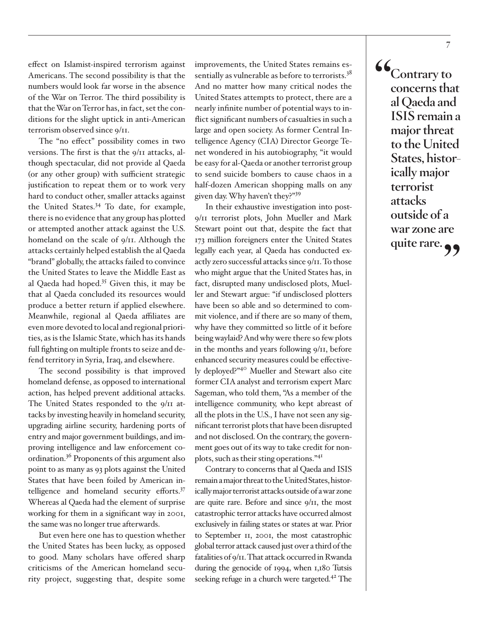effect on Islamist-inspired terrorism against Americans. The second possibility is that the numbers would look far worse in the absence of the War on Terror. The third possibility is that the War on Terror has, in fact, set the conditions for the slight uptick in anti-American terrorism observed since 9/11.

The "no effect" possibility comes in two versions. The first is that the 9/11 attacks, although spectacular, did not provide al Qaeda (or any other group) with sufficient strategic justification to repeat them or to work very hard to conduct other, smaller attacks against the United States.<sup>[34](#page-22-0)</sup> To date, for example, there is no evidence that any group has plotted or attempted another attack against the U.S. homeland on the scale of 9/11. Although the attacks certainly helped establish the al Qaeda "brand" globally, the attacks failed to convince the United States to leave the Middle East as al Qaeda had hoped.[35](#page-22-1) Given this, it may be that al Qaeda concluded its resources would produce a better return if applied elsewhere. Meanwhile, regional al Qaeda affiliates are even more devoted to local and regional priorities, as is the Islamic State, which has its hands full fighting on multiple fronts to seize and defend territory in Syria, Iraq, and elsewhere.

The second possibility is that improved homeland defense, as opposed to international action, has helped prevent additional attacks. The United States responded to the 9/11 attacks by investing heavily in homeland security, upgrading airline security, hardening ports of entry and major government buildings, and improving intelligence and law enforcement coordination[.36](#page-22-2) Proponents of this argument also point to as many as 93 plots against the United States that have been foiled by American intelligence and homeland security efforts.<sup>37</sup> Whereas al Qaeda had the element of surprise working for them in a significant way in 2001, the same was no longer true afterwards.

But even here one has to question whether the United States has been lucky, as opposed to good. Many scholars have offered sharp criticisms of the American homeland security project, suggesting that, despite some

improvements, the United States remains essentially as vulnerable as before to terrorists.<sup>38</sup> And no matter how many critical nodes the United States attempts to protect, there are a nearly infinite number of potential ways to inflict significant numbers of casualties in such a large and open society. As former Central Intelligence Agency (CIA) Director George Tenet wondered in his autobiography, "it would be easy for al-Qaeda or another terrorist group to send suicide bombers to cause chaos in a half-dozen American shopping malls on any given day. Why haven't they?["39](#page-22-5)

In their exhaustive investigation into post-9/11 terrorist plots, John Mueller and Mark Stewart point out that, despite the fact that 173 million foreigners enter the United States legally each year, al Qaeda has conducted exactly zero successful attacks since 9/11. To those who might argue that the United States has, in fact, disrupted many undisclosed plots, Mueller and Stewart argue: "if undisclosed plotters have been so able and so determined to commit violence, and if there are so many of them, why have they committed so little of it before being waylaid? And why were there so few plots in the months and years following 9/11, before enhanced security measures could be effectively deployed?"[40](#page-22-6) Mueller and Stewart also cite former CIA analyst and terrorism expert Marc Sageman, who told them, "As a member of the intelligence community, who kept abreast of all the plots in the U.S., I have not seen any significant terrorist plots that have been disrupted and not disclosed. On the contrary, the government goes out of its way to take credit for nonplots, such as their sting operations."[41](#page-22-7)

Contrary to concerns that al Qaeda and ISIS remain a major threat to the United States, historically major terrorist attacks outside of a war zone are quite rare. Before and since 9/11, the most catastrophic terror attacks have occurred almost exclusively in failing states or states at war. Prior to September 11, 2001, the most catastrophic global terror attack caused just over a third of the fatalities of 9/11. That attack occurred in Rwanda during the genocide of 1994, when 1,180 Tutsis seeking refuge in a church were targeted.<sup>42</sup> The **"Contrary to concerns that al Qaeda and ISIS remain a major threat to the United States, historically major terrorist attacks outside of a war zone are quite rare."**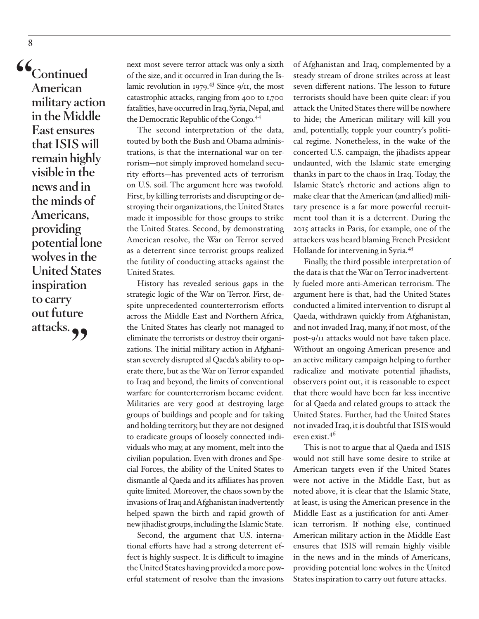**"Continued American military action in the Middle East ensures that ISIS will remain highly visible in the news and in the minds of Americans, providing potential lone wolves in the United States inspiration to carry out future attacks."**

next most severe terror attack was only a sixth of the size, and it occurred in Iran during the Islamic revolution in 1979.<sup>43</sup> Since 9/11, the most catastrophic attacks, ranging from 400 to 1,700 fatalities, have occurred in Iraq, Syria, Nepal, and the Democratic Republic of the Congo[.44](#page-22-10)

The second interpretation of the data, touted by both the Bush and Obama administrations, is that the international war on terrorism—not simply improved homeland security efforts—has prevented acts of terrorism on U.S. soil. The argument here was twofold. First, by killing terrorists and disrupting or destroying their organizations, the United States made it impossible for those groups to strike the United States. Second, by demonstrating American resolve, the War on Terror served as a deterrent since terrorist groups realized the futility of conducting attacks against the United States.

History has revealed serious gaps in the strategic logic of the War on Terror. First, despite unprecedented counterterrorism efforts across the Middle East and Northern Africa, the United States has clearly not managed to eliminate the terrorists or destroy their organizations. The initial military action in Afghanistan severely disrupted al Qaeda's ability to operate there, but as the War on Terror expanded to Iraq and beyond, the limits of conventional warfare for counterterrorism became evident. Militaries are very good at destroying large groups of buildings and people and for taking and holding territory, but they are not designed to eradicate groups of loosely connected individuals who may, at any moment, melt into the civilian population. Even with drones and Special Forces, the ability of the United States to dismantle al Qaeda and its affiliates has proven quite limited. Moreover, the chaos sown by the invasions of Iraq and Afghanistan inadvertently helped spawn the birth and rapid growth of new jihadist groups, including the Islamic State.

Second, the argument that U.S. international efforts have had a strong deterrent effect is highly suspect. It is difficult to imagine the United States having provided a more powerful statement of resolve than the invasions of Afghanistan and Iraq, complemented by a steady stream of drone strikes across at least seven different nations. The lesson to future terrorists should have been quite clear: if you attack the United States there will be nowhere to hide; the American military will kill you and, potentially, topple your country's political regime. Nonetheless, in the wake of the concerted U.S. campaign, the jihadists appear undaunted, with the Islamic state emerging thanks in part to the chaos in Iraq. Today, the Islamic State's rhetoric and actions align to make clear that the American (and allied) military presence is a far more powerful recruitment tool than it is a deterrent. During the 2015 attacks in Paris, for example, one of the attackers was heard blaming French President Hollande for intervening in Syria[.45](#page-22-11)

Finally, the third possible interpretation of the data is that the War on Terror inadvertently fueled more anti-American terrorism. The argument here is that, had the United States conducted a limited intervention to disrupt al Qaeda, withdrawn quickly from Afghanistan, and not invaded Iraq, many, if not most, of the post-9/11 attacks would not have taken place. Without an ongoing American presence and an active military campaign helping to further radicalize and motivate potential jihadists, observers point out, it is reasonable to expect that there would have been far less incentive for al Qaeda and related groups to attack the United States. Further, had the United States not invaded Iraq, it is doubtful that ISIS would even exist.[46](#page-22-12)

This is not to argue that al Qaeda and ISIS would not still have some desire to strike at American targets even if the United States were not active in the Middle East, but as noted above, it is clear that the Islamic State, at least, is using the American presence in the Middle East as a justification for anti-American terrorism. If nothing else, continued American military action in the Middle East ensures that ISIS will remain highly visible in the news and in the minds of Americans, providing potential lone wolves in the United States inspiration to carry out future attacks.

**8**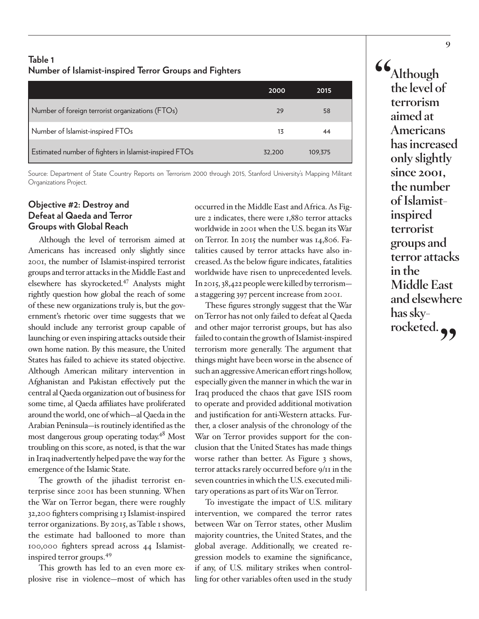# **Table 1 Number of Islamist-inspired Terror Groups and Fighters**

|                                                        | 2000   | 2015    |
|--------------------------------------------------------|--------|---------|
| Number of foreign terrorist organizations (FTOs)       | 29     | 58      |
| Number of Islamist-inspired FTOs                       | 13     | 44      |
| Estimated number of fighters in Islamist-inspired FTOs | 32.200 | 109,375 |

Source: Department of State Country Reports on Terrorism 2000 through 2015, Stanford University's Mapping Militant Organizations Project.

# **Objective #2: Destroy and Defeat al Qaeda and Terror Groups with Global Reach**

Although the level of terrorism aimed at Americans has increased only slightly since 2001, the number of Islamist-inspired terrorist groups and terror attacks in the Middle East and elsewhere has skyrocketed[.47](#page-22-13) Analysts might rightly question how global the reach of some of these new organizations truly is, but the government's rhetoric over time suggests that we should include any terrorist group capable of launching or even inspiring attacks outside their own home nation. By this measure, the United States has failed to achieve its stated objective. Although American military intervention in Afghanistan and Pakistan effectively put the central al Qaeda organization out of business for some time, al Qaeda affiliates have proliferated around the world, one of which—al Qaeda in the Arabian Peninsula—is routinely identified as the most dangerous group operating today.<sup>48</sup> Most troubling on this score, as noted, is that the war in Iraq inadvertently helped pave the way for the emergence of the Islamic State.

The growth of the jihadist terrorist enterprise since 2001 has been stunning. When the War on Terror began, there were roughly 32,200 fighters comprising 13 Islamist-inspired terror organizations. By 2015, as Table 1 shows, the estimate had ballooned to more than 100,000 fighters spread across 44 Islamistinspired terror groups.[49](#page-22-15)

This growth has led to an even more explosive rise in violence—most of which has occurred in the Middle East and Africa. As Figure 2 indicates, there were 1,880 terror attacks worldwide in 2001 when the U.S. began its War on Terror. In 2015 the number was 14,806. Fatalities caused by terror attacks have also increased. As the below figure indicates, fatalities worldwide have risen to unprecedented levels. In 2015, 38,422 people were killed by terrorism a staggering 397 percent increase from 2001.

These figures strongly suggest that the War on Terror has not only failed to defeat al Qaeda and other major terrorist groups, but has also failed to contain the growth of Islamist-inspired terrorism more generally. The argument that things might have been worse in the absence of such an aggressive American effort rings hollow, especially given the manner in which the war in Iraq produced the chaos that gave ISIS room to operate and provided additional motivation and justification for anti-Western attacks. Further, a closer analysis of the chronology of the War on Terror provides support for the conclusion that the United States has made things worse rather than better. As Figure 3 shows, terror attacks rarely occurred before 9/11 in the seven countries in which the U.S. executed military operations as part of its War on Terror.

To investigate the impact of U.S. military intervention, we compared the terror rates between War on Terror states, other Muslim majority countries, the United States, and the global average. Additionally, we created regression models to examine the significance, if any, of U.S. military strikes when controlling for other variables often used in the study

**"Although the level of terrorism aimed at Americans has increased only slightly since 2001, the number of Islamistinspired terrorist groups and terror attacks in the Middle East and elsewhere has sky**rocketed.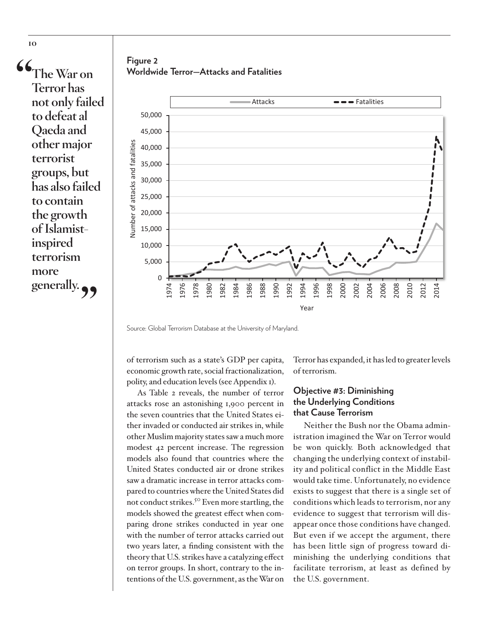**"The War on Terror has not only failed to defeat al Qaeda and other major terrorist groups, but has also failed to contain the growth of Islamistinspired terrorism more generally."**

**Figure 2 Worldwide Terror—Attacks and Fatalities**



Source: Global Terrorism Database at the University of Maryland.

of terrorism such as a state's GDP per capita, economic growth rate, social fractionalization, polity, and education levels (see Appendix 1).

As Table 2 reveals, the number of terror attacks rose an astonishing 1,900 percent in the seven countries that the United States either invaded or conducted air strikes in, while other Muslim majority states saw a much more modest 42 percent increase. The regression models also found that countries where the United States conducted air or drone strikes saw a dramatic increase in terror attacks compared to countries where the United States did not conduct strikes.<sup>[50](#page-23-0)</sup> Even more startling, the models showed the greatest effect when comparing drone strikes conducted in year one with the number of terror attacks carried out two years later, a finding consistent with the theory that U.S. strikes have a catalyzing effect on terror groups. In short, contrary to the intentions of the U.S. government, as the War on

Terror has expanded, it has led to greater levels of terrorism.

# **Objective #3: Diminishing the Underlying Conditions that Cause Terrorism**

Neither the Bush nor the Obama administration imagined the War on Terror would be won quickly. Both acknowledged that changing the underlying context of instability and political conflict in the Middle East would take time. Unfortunately, no evidence exists to suggest that there is a single set of conditions which leads to terrorism, nor any evidence to suggest that terrorism will disappear once those conditions have changed. But even if we accept the argument, there has been little sign of progress toward diminishing the underlying conditions that facilitate terrorism, at least as defined by the U.S. government.

**10**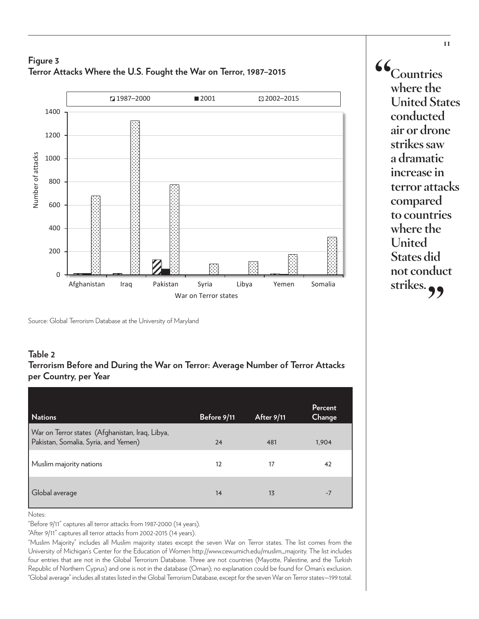# **Figure 3 Terror Attacks Where the U.S. Fought the War on Terror, 1987–2015**



Source: Global Terrorism Database at the University of Maryland

# **Table 2**

### **Terrorism Before and During the War on Terror: Average Number of Terror Attacks per Country, per Year**

| <b>Nations</b>                                                                          | Before 9/11 | <b>After 9/11</b> | Percent<br>Change |
|-----------------------------------------------------------------------------------------|-------------|-------------------|-------------------|
| War on Terror states (Afghanistan, Iraq, Libya,<br>Pakistan, Somalia, Syria, and Yemen) | 24          | 481               | 1,904             |
| Muslim majority nations                                                                 | 12          | 17                | 42                |
| Global average                                                                          | 14          | 13                | $-7$              |

Notes:

"Before 9/11" captures all terror attacks from 1987-2000 (14 years).

"After 9/11" captures all terror attacks from 2002-2015 (14 years).

"Muslim Majority" includes all Muslim majority states except the seven War on Terror states. The list comes from the University of Michigan's Center for the Education of Women http://www.cew.umich.edu/muslim\_majority. The list includes four entries that are not in the Global Terrorism Database. Three are not countries (Mayotte, Palestine, and the Turkish Republic of Northern Cyprus) and one is not in the database (Oman); no explanation could be found for Oman's exclusion. "Global average" includes all states listed in the Global Terrorism Database, except for the seven War on Terror states—199 total.

**"Countries where the United States conducted air or drone strikes saw a dramatic increase in terror attacks compared to countries where the United States did not conduct**  strikes.<sub>?</sub>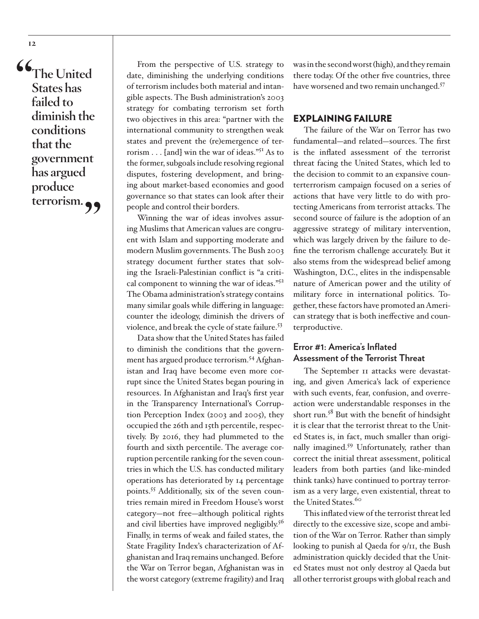**"The United States has failed to diminish the conditions that the government has argued produce terrorism."**

From the perspective of U.S. strategy to date, diminishing the underlying conditions of terrorism includes both material and intangible aspects. The Bush administration's 2003 strategy for combating terrorism set forth two objectives in this area: "partner with the international community to strengthen weak states and prevent the (re)emergence of terrorism . . . [and] win the war of ideas."[51](#page-23-1) As to the former, subgoals include resolving regional disputes, fostering development, and bringing about market-based economies and good governance so that states can look after their people and control their borders.

Winning the war of ideas involves assuring Muslims that American values are congruent with Islam and supporting moderate and modern Muslim governments. The Bush 2003 strategy document further states that solving the Israeli-Palestinian conflict is "a critical component to winning the war of ideas."[52](#page-23-2) The Obama administration's strategy contains many similar goals while differing in language: counter the ideology, diminish the drivers of violence, and break the cycle of state failure.[53](#page-23-3)

Data show that the United States has failed to diminish the conditions that the government has argued produce terrorism.<sup>54</sup> Afghanistan and Iraq have become even more corrupt since the United States began pouring in resources. In Afghanistan and Iraq's first year in the Transparency International's Corruption Perception Index (2003 and 2005), they occupied the 26th and 15th percentile, respectively. By 2016, they had plummeted to the fourth and sixth percentile. The average corruption percentile ranking for the seven countries in which the U.S. has conducted military operations has deteriorated by 14 percentage points.[55](#page-23-5) Additionally, six of the seven countries remain mired in Freedom House's worst category—not free—although political rights and civil liberties have improved negligibly.<sup>[56](#page-23-6)</sup> Finally, in terms of weak and failed states, the State Fragility Index's characterization of Afghanistan and Iraq remains unchanged. Before the War on Terror began, Afghanistan was in the worst category (extreme fragility) and Iraq

was in the second worst (high), and they remain there today. Of the other five countries, three have worsened and two remain unchanged.<sup>57</sup>

#### EXPLAINING FAILURE

The failure of the War on Terror has two fundamental—and related—sources. The first is the inflated assessment of the terrorist threat facing the United States, which led to the decision to commit to an expansive counterterrorism campaign focused on a series of actions that have very little to do with protecting Americans from terrorist attacks. The second source of failure is the adoption of an aggressive strategy of military intervention, which was largely driven by the failure to define the terrorism challenge accurately. But it also stems from the widespread belief among Washington, D.C., elites in the indispensable nature of American power and the utility of military force in international politics. Together, these factors have promoted an American strategy that is both ineffective and counterproductive.

# **Error #1: America's Inflated Assessment of the Terrorist Threat**

The September 11 attacks were devastating, and given America's lack of experience with such events, fear, confusion, and overreaction were understandable responses in the short run.<sup>[58](#page-23-8)</sup> But with the benefit of hindsight it is clear that the terrorist threat to the United States is, in fact, much smaller than originally imagined.[59](#page-23-9) Unfortunately, rather than correct the initial threat assessment, political leaders from both parties (and like-minded think tanks) have continued to portray terrorism as a very large, even existential, threat to the United States.<sup>[60](#page-23-10)</sup>

This inflated view of the terrorist threat led directly to the excessive size, scope and ambition of the War on Terror. Rather than simply looking to punish al Qaeda for 9/11, the Bush administration quickly decided that the United States must not only destroy al Qaeda but all other terrorist groups with global reach and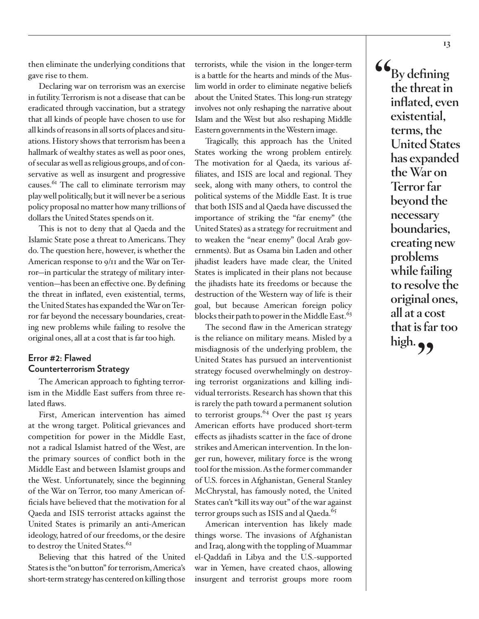then eliminate the underlying conditions that gave rise to them.

Declaring war on terrorism was an exercise in futility. Terrorism is not a disease that can be eradicated through vaccination, but a strategy that all kinds of people have chosen to use for all kinds of reasons in all sorts of places and situations. History shows that terrorism has been a hallmark of wealthy states as well as poor ones, of secular as well as religious groups, and of conservative as well as insurgent and progressive causes.<sup>61</sup> The call to eliminate terrorism may play well politically, but it will never be a serious policy proposal no matter how many trillions of dollars the United States spends on it.

This is not to deny that al Qaeda and the Islamic State pose a threat to Americans. They do. The question here, however, is whether the American response to 9/11 and the War on Terror—in particular the strategy of military intervention—has been an effective one. By defining the threat in inflated, even existential, terms, the United States has expanded the War on Terror far beyond the necessary boundaries, creating new problems while failing to resolve the original ones, all at a cost that is far too high.

# **Error #2: Flawed Counterterrorism Strategy**

The American approach to fighting terrorism in the Middle East suffers from three related flaws.

First, American intervention has aimed at the wrong target. Political grievances and competition for power in the Middle East, not a radical Islamist hatred of the West, are the primary sources of conflict both in the Middle East and between Islamist groups and the West. Unfortunately, since the beginning of the War on Terror, too many American officials have believed that the motivation for al Qaeda and ISIS terrorist attacks against the United States is primarily an anti-American ideology, hatred of our freedoms, or the desire to destroy the United States.<sup>[62](#page-23-12)</sup>

Believing that this hatred of the United States is the "on button" for terrorism, America's short-term strategy has centered on killing those

terrorists, while the vision in the longer-term is a battle for the hearts and minds of the Muslim world in order to eliminate negative beliefs about the United States. This long-run strategy involves not only reshaping the narrative about Islam and the West but also reshaping Middle Eastern governments in the Western image.

Tragically, this approach has the United States working the wrong problem entirely. The motivation for al Qaeda, its various affiliates, and ISIS are local and regional. They seek, along with many others, to control the political systems of the Middle East. It is true that both ISIS and al Qaeda have discussed the importance of striking the "far enemy" (the United States) as a strategy for recruitment and to weaken the "near enemy" (local Arab governments). But as Osama bin Laden and other jihadist leaders have made clear, the United States is implicated in their plans not because the jihadists hate its freedoms or because the destruction of the Western way of life is their goal, but because American foreign policy blocks their path to power in the Middle East.<sup>[63](#page-23-13)</sup>

The second flaw in the American strategy is the reliance on military means. Misled by a misdiagnosis of the underlying problem, the United States has pursued an interventionist strategy focused overwhelmingly on destroying terrorist organizations and killing individual terrorists. Research has shown that this is rarely the path toward a permanent solution to terrorist groups.<sup>[64](#page-23-14)</sup> Over the past 15 years American efforts have produced short-term effects as jihadists scatter in the face of drone strikes and American intervention. In the longer run, however, military force is the wrong tool for the mission. As the former commander of U.S. forces in Afghanistan, General Stanley McChrystal, has famously noted, the United States can't "kill its way out" of the war against terror groups such as ISIS and al Qaeda.<sup>65</sup>

American intervention has likely made things worse. The invasions of Afghanistan and Iraq, along with the toppling of Muammar el-Qaddafi in Libya and the U.S.-supported war in Yemen, have created chaos, allowing insurgent and terrorist groups more room

**"By defining the threat in inflated, even existential, terms, the United States has expanded the War on Terror far beyond the necessary boundaries, creating new problems while failing to resolve the original ones, all at a cost that is far too high."**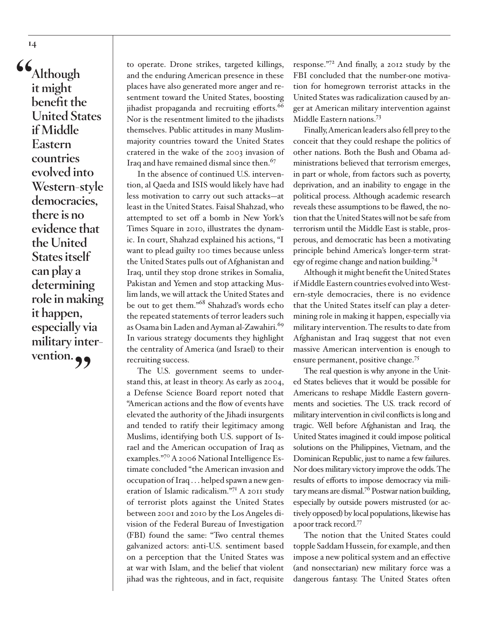**"Although it might benefit the United States if Middle Eastern countries evolved into Western-style democracies, there is no evidence that the United States itself can play a determining role in making it happen, especially via military inter**vention. **99** 

to operate. Drone strikes, targeted killings, and the enduring American presence in these places have also generated more anger and resentment toward the United States, boosting jihadist propaganda and recruiting efforts.<sup>[66](#page-24-1)</sup> Nor is the resentment limited to the jihadists themselves. Public attitudes in many Muslimmajority countries toward the United States cratered in the wake of the 2003 invasion of Iraq and have remained dismal since then.<sup>67</sup>

In the absence of continued U.S. intervention, al Qaeda and ISIS would likely have had less motivation to carry out such attacks—at least in the United States. Faisal Shahzad, who attempted to set off a bomb in New York's Times Square in 2010, illustrates the dynamic. In court, Shahzad explained his actions, "I want to plead guilty 100 times because unless the United States pulls out of Afghanistan and Iraq, until they stop drone strikes in Somalia, Pakistan and Yemen and stop attacking Muslim lands, we will attack the United States and be out to get them.["68](#page-24-3) Shahzad's words echo the repeated statements of terror leaders such as Osama bin Laden and Ayman al-Zawahiri.<sup>[69](#page-24-4)</sup> In various strategy documents they highlight the centrality of America (and Israel) to their recruiting success.

The U.S. government seems to understand this, at least in theory. As early as 2004, a Defense Science Board report noted that "American actions and the flow of events have elevated the authority of the Jihadi insurgents and tended to ratify their legitimacy among Muslims, identifying both U.S. support of Israel and the American occupation of Iraq as examples.["70](#page-24-5) A 2006 National Intelligence Estimate concluded "the American invasion and occupation of Iraq . . . helped spawn a new generation of Islamic radicalism."[71](#page-24-6) A 2011 study of terrorist plots against the United States between 2001 and 2010 by the Los Angeles division of the Federal Bureau of Investigation (FBI) found the same: "Two central themes galvanized actors: anti-U.S. sentiment based on a perception that the United States was at war with Islam, and the belief that violent jihad was the righteous, and in fact, requisite

response."[72](#page-24-7) And finally, a 2012 study by the FBI concluded that the number-one motivation for homegrown terrorist attacks in the United States was radicalization caused by anger at American military intervention against Middle Eastern nations.[73](#page-24-8)

Finally, American leaders also fell prey to the conceit that they could reshape the politics of other nations. Both the Bush and Obama administrations believed that terrorism emerges, in part or whole, from factors such as poverty, deprivation, and an inability to engage in the political process. Although academic research reveals these assumptions to be flawed, the notion that the United States will not be safe from terrorism until the Middle East is stable, prosperous, and democratic has been a motivating principle behind America's longer-term strategy of regime change and nation building[.74](#page-24-9)

Although it might benefit the United States if Middle Eastern countries evolved into Western-style democracies, there is no evidence that the United States itself can play a determining role in making it happen, especially via military intervention. The results to date from Afghanistan and Iraq suggest that not even massive American intervention is enough to ensure permanent, positive change.<sup>[75](#page-24-10)</sup>

The real question is why anyone in the United States believes that it would be possible for Americans to reshape Middle Eastern governments and societies. The U.S. track record of military intervention in civil conflicts is long and tragic. Well before Afghanistan and Iraq, the United States imagined it could impose political solutions on the Philippines, Vietnam, and the Dominican Republic, just to name a few failures. Nor does military victory improve the odds. The results of efforts to impose democracy via military means are dismal.<sup>76</sup> Postwar nation building, especially by outside powers mistrusted (or actively opposed) by local populations, likewise has a poor track record[.77](#page-25-1)

The notion that the United States could topple Saddam Hussein, for example, and then impose a new political system and an effective (and nonsectarian) new military force was a dangerous fantasy. The United States often

**14**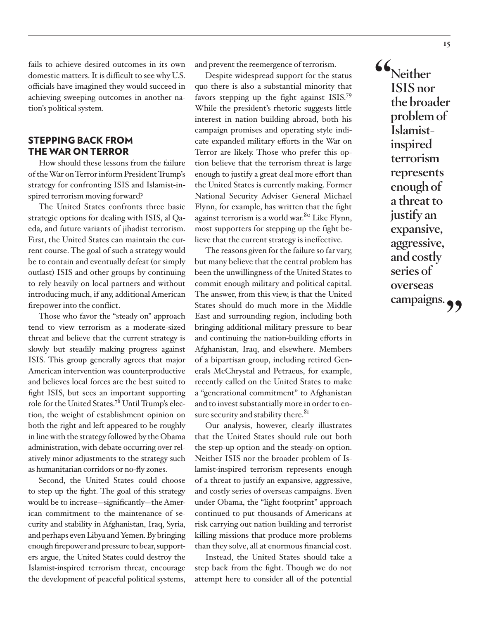fails to achieve desired outcomes in its own domestic matters. It is difficult to see why U.S. officials have imagined they would succeed in achieving sweeping outcomes in another nation's political system.

### STEPPING BACK FROM THE WAR ON TERROR

How should these lessons from the failure of the War on Terror inform President Trump's strategy for confronting ISIS and Islamist-inspired terrorism moving forward?

The United States confronts three basic strategic options for dealing with ISIS, al Qaeda, and future variants of jihadist terrorism. First, the United States can maintain the current course. The goal of such a strategy would be to contain and eventually defeat (or simply outlast) ISIS and other groups by continuing to rely heavily on local partners and without introducing much, if any, additional American firepower into the conflict.

Those who favor the "steady on" approach tend to view terrorism as a moderate-sized threat and believe that the current strategy is slowly but steadily making progress against ISIS. This group generally agrees that major American intervention was counterproductive and believes local forces are the best suited to fight ISIS, but sees an important supporting role for the United States[.78](#page-25-2) Until Trump's election, the weight of establishment opinion on both the right and left appeared to be roughly in line with the strategy followed by the Obama administration, with debate occurring over relatively minor adjustments to the strategy such as humanitarian corridors or no-fly zones.

Second, the United States could choose to step up the fight. The goal of this strategy would be to increase—significantly—the American commitment to the maintenance of security and stability in Afghanistan, Iraq, Syria, and perhaps even Libya and Yemen. By bringing enough firepower and pressure to bear, supporters argue, the United States could destroy the Islamist-inspired terrorism threat, encourage the development of peaceful political systems,

and prevent the reemergence of terrorism.

Despite widespread support for the status quo there is also a substantial minority that favors stepping up the fight against ISIS[.79](#page-25-3) While the president's rhetoric suggests little interest in nation building abroad, both his campaign promises and operating style indicate expanded military efforts in the War on Terror are likely. Those who prefer this option believe that the terrorism threat is large enough to justify a great deal more effort than the United States is currently making. Former National Security Adviser General Michael Flynn, for example, has written that the fight against terrorism is a world war.<sup>[80](#page-25-4)</sup> Like Flynn, most supporters for stepping up the fight believe that the current strategy is ineffective.

The reasons given for the failure so far vary, but many believe that the central problem has been the unwillingness of the United States to commit enough military and political capital. The answer, from this view, is that the United States should do much more in the Middle East and surrounding region, including both bringing additional military pressure to bear and continuing the nation-building efforts in Afghanistan, Iraq, and elsewhere. Members of a bipartisan group, including retired Generals McChrystal and Petraeus, for example, recently called on the United States to make a "generational commitment" to Afghanistan and to invest substantially more in order to ensure security and stability there.<sup>81</sup>

Our analysis, however, clearly illustrates that the United States should rule out both the step-up option and the steady-on option. Neither ISIS nor the broader problem of Islamist-inspired terrorism represents enough of a threat to justify an expansive, aggressive, and costly series of overseas campaigns. Even under Obama, the "light footprint" approach continued to put thousands of Americans at risk carrying out nation building and terrorist killing missions that produce more problems than they solve, all at enormous financial cost.

Instead, the United States should take a step back from the fight. Though we do not attempt here to consider all of the potential **"Neither ISIS nor the broader problem of Islamistinspired terrorism represents enough of a threat to justify an expansive, aggressive, and costly series of overseas**  campaigns.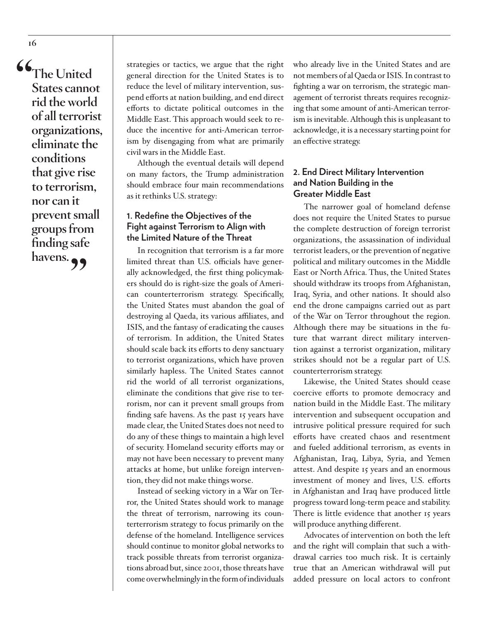**"The United States cannot rid the world of all terrorist organizations, eliminate the conditions that give rise to terrorism, nor can it prevent small groups from finding safe**  havens.<sub>?</sub>

strategies or tactics, we argue that the right general direction for the United States is to reduce the level of military intervention, suspend efforts at nation building, and end direct efforts to dictate political outcomes in the Middle East. This approach would seek to reduce the incentive for anti-American terrorism by disengaging from what are primarily civil wars in the Middle East.

Although the eventual details will depend on many factors, the Trump administration should embrace four main recommendations as it rethinks U.S. strategy:

# **1. Redefine the Objectives of the Fight against Terrorism to Align with the Limited Nature of the Threat**

In recognition that terrorism is a far more limited threat than U.S. officials have generally acknowledged, the first thing policymakers should do is right-size the goals of American counterterrorism strategy. Specifically, the United States must abandon the goal of destroying al Qaeda, its various affiliates, and ISIS, and the fantasy of eradicating the causes of terrorism. In addition, the United States should scale back its efforts to deny sanctuary to terrorist organizations, which have proven similarly hapless. The United States cannot rid the world of all terrorist organizations, eliminate the conditions that give rise to terrorism, nor can it prevent small groups from finding safe havens. As the past 15 years have made clear, the United States does not need to do any of these things to maintain a high level of security. Homeland security efforts may or may not have been necessary to prevent many attacks at home, but unlike foreign intervention, they did not make things worse.

Instead of seeking victory in a War on Terror, the United States should work to manage the threat of terrorism, narrowing its counterterrorism strategy to focus primarily on the defense of the homeland. Intelligence services should continue to monitor global networks to track possible threats from terrorist organizations abroad but, since 2001, those threats have come overwhelmingly in the form of individuals

who already live in the United States and are not members of al Qaeda or ISIS. In contrast to fighting a war on terrorism, the strategic management of terrorist threats requires recognizing that some amount of anti-American terrorism is inevitable. Although this is unpleasant to acknowledge, it is a necessary starting point for an effective strategy.

### **2. End Direct Military Intervention and Nation Building in the Greater Middle East**

The narrower goal of homeland defense does not require the United States to pursue the complete destruction of foreign terrorist organizations, the assassination of individual terrorist leaders, or the prevention of negative political and military outcomes in the Middle East or North Africa. Thus, the United States should withdraw its troops from Afghanistan, Iraq, Syria, and other nations. It should also end the drone campaigns carried out as part of the War on Terror throughout the region. Although there may be situations in the future that warrant direct military intervention against a terrorist organization, military strikes should not be a regular part of U.S. counterterrorism strategy.

Likewise, the United States should cease coercive efforts to promote democracy and nation build in the Middle East. The military intervention and subsequent occupation and intrusive political pressure required for such efforts have created chaos and resentment and fueled additional terrorism, as events in Afghanistan, Iraq, Libya, Syria, and Yemen attest. And despite 15 years and an enormous investment of money and lives, U.S. efforts in Afghanistan and Iraq have produced little progress toward long-term peace and stability. There is little evidence that another 15 years will produce anything different.

Advocates of intervention on both the left and the right will complain that such a withdrawal carries too much risk. It is certainly true that an American withdrawal will put added pressure on local actors to confront

**16**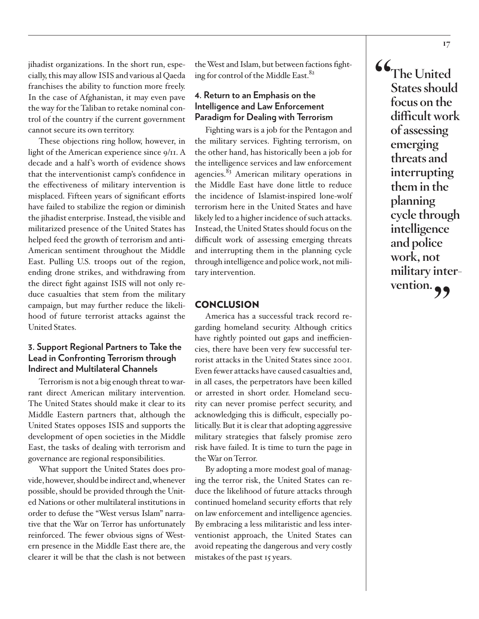jihadist organizations. In the short run, especially, this may allow ISIS and various al Qaeda franchises the ability to function more freely. In the case of Afghanistan, it may even pave the way for the Taliban to retake nominal control of the country if the current government cannot secure its own territory.

These objections ring hollow, however, in light of the American experience since 9/11. A decade and a half's worth of evidence shows that the interventionist camp's confidence in the effectiveness of military intervention is misplaced. Fifteen years of significant efforts have failed to stabilize the region or diminish the jihadist enterprise. Instead, the visible and militarized presence of the United States has helped feed the growth of terrorism and anti-American sentiment throughout the Middle East. Pulling U.S. troops out of the region, ending drone strikes, and withdrawing from the direct fight against ISIS will not only reduce casualties that stem from the military campaign, but may further reduce the likelihood of future terrorist attacks against the United States.

# **3. Support Regional Partners to Take the Lead in Confronting Terrorism through Indirect and Multilateral Channels**

Terrorism is not a big enough threat to warrant direct American military intervention. The United States should make it clear to its Middle Eastern partners that, although the United States opposes ISIS and supports the development of open societies in the Middle East, the tasks of dealing with terrorism and governance are regional responsibilities.

What support the United States does provide, however, should be indirect and, whenever possible, should be provided through the United Nations or other multilateral institutions in order to defuse the "West versus Islam" narrative that the War on Terror has unfortunately reinforced. The fewer obvious signs of Western presence in the Middle East there are, the clearer it will be that the clash is not between the West and Islam, but between factions fighting for control of the Middle East.<sup>82</sup>

## **4. Return to an Emphasis on the Intelligence and Law Enforcement Paradigm for Dealing with Terrorism**

Fighting wars is a job for the Pentagon and the military services. Fighting terrorism, on the other hand, has historically been a job for the intelligence services and law enforcement agencies. $83$  American military operations in the Middle East have done little to reduce the incidence of Islamist-inspired lone-wolf terrorism here in the United States and have likely led to a higher incidence of such attacks. Instead, the United States should focus on the difficult work of assessing emerging threats and interrupting them in the planning cycle through intelligence and police work, not military intervention.

#### **CONCLUSION**

America has a successful track record regarding homeland security. Although critics have rightly pointed out gaps and inefficiencies, there have been very few successful terrorist attacks in the United States since 2001. Even fewer attacks have caused casualties and, in all cases, the perpetrators have been killed or arrested in short order. Homeland security can never promise perfect security, and acknowledging this is difficult, especially politically. But it is clear that adopting aggressive military strategies that falsely promise zero risk have failed. It is time to turn the page in the War on Terror.

By adopting a more modest goal of managing the terror risk, the United States can reduce the likelihood of future attacks through continued homeland security efforts that rely on law enforcement and intelligence agencies. By embracing a less militaristic and less interventionist approach, the United States can avoid repeating the dangerous and very costly mistakes of the past 15 years.

**"The United States should focus on the difficult work of assessing emerging threats and interrupting them in the planning cycle through intelligence and police work, not military inter**vention.<sub>?</sub>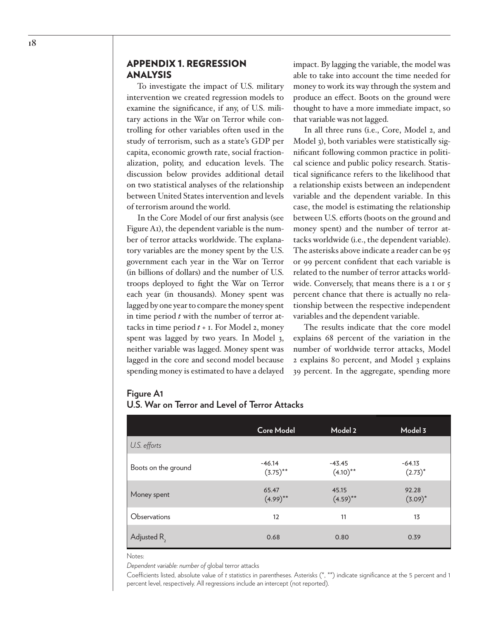### APPENDIX 1. REGRESSION ANALYSIS

To investigate the impact of U.S. military intervention we created regression models to examine the significance, if any, of U.S. military actions in the War on Terror while controlling for other variables often used in the study of terrorism, such as a state's GDP per capita, economic growth rate, social fractionalization, polity, and education levels. The discussion below provides additional detail on two statistical analyses of the relationship between United States intervention and levels of terrorism around the world.

In the Core Model of our first analysis (see Figure A1), the dependent variable is the number of terror attacks worldwide. The explanatory variables are the money spent by the U.S. government each year in the War on Terror (in billions of dollars) and the number of U.S. troops deployed to fight the War on Terror each year (in thousands). Money spent was lagged by one year to compare the money spent in time period *t* with the number of terror attacks in time period *t* + 1. For Model 2, money spent was lagged by two years. In Model 3, neither variable was lagged. Money spent was lagged in the core and second model because spending money is estimated to have a delayed impact. By lagging the variable, the model was able to take into account the time needed for money to work its way through the system and produce an effect. Boots on the ground were thought to have a more immediate impact, so that variable was not lagged.

In all three runs (i.e., Core, Model 2, and Model 3), both variables were statistically significant following common practice in political science and public policy research. Statistical significance refers to the likelihood that a relationship exists between an independent variable and the dependent variable. In this case, the model is estimating the relationship between U.S. efforts (boots on the ground and money spent) and the number of terror attacks worldwide (i.e., the dependent variable). The asterisks above indicate a reader can be 95 or 99 percent confident that each variable is related to the number of terror attacks worldwide. Conversely, that means there is a 1 or 5 percent chance that there is actually no relationship between the respective independent variables and the dependent variable.

The results indicate that the core model explains 68 percent of the variation in the number of worldwide terror attacks, Model 2 explains 80 percent, and Model 3 explains 39 percent. In the aggregate, spending more

#### **Figure A1**

|  |  |  |  |  |  |  |  | U.S. War on Terror and Level of Terror Attacks |
|--|--|--|--|--|--|--|--|------------------------------------------------|
|--|--|--|--|--|--|--|--|------------------------------------------------|

|                         | <b>Core Model</b>       | Model 2                 | Model 3                |
|-------------------------|-------------------------|-------------------------|------------------------|
| U.S. efforts            |                         |                         |                        |
| Boots on the ground     | $-46.14$<br>$(3.75)$ ** | $-43.45$<br>$(4.10)$ ** | $-64.13$<br>$(2.73)^*$ |
| Money spent             | 65.47<br>$(4.99)$ **    | 45.15<br>$(4.59)$ **    | 92.28<br>$(3.09)^*$    |
| Observations            | 12                      | 11                      | 13                     |
| Adjusted R <sub>2</sub> | 0.68                    | 0.80                    | 0.39                   |

Notes:

*Dependent variable: number of* global terror attacks

Coefficients listed, absolute value of *t* statistics in parentheses. Asterisks (\*, \*\*) indicate significance at the 5 percent and 1 percent level, respectively. All regressions include an intercept (not reported).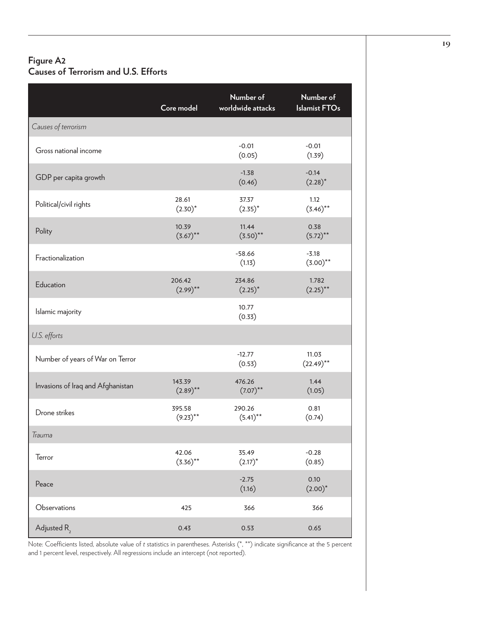# **Figure A2 Causes of Terrorism and U.S. Efforts**

|                                   | Core model            | Number of<br>worldwide attacks | Number of<br><b>Islamist FTOs</b> |
|-----------------------------------|-----------------------|--------------------------------|-----------------------------------|
| Causes of terrorism               |                       |                                |                                   |
| Gross national income             |                       | $-0.01$<br>(0.05)              | $-0.01$<br>(1.39)                 |
| GDP per capita growth             |                       | $-1.38$<br>(0.46)              | $-0.14$<br>$(2.28)^*$             |
| Political/civil rights            | 28.61<br>$(2.30)^*$   | 37.37<br>$(2.35)^*$            | 1.12<br>$(3.46)$ **               |
| Polity                            | 10.39<br>$(3.67)$ **  | 11.44<br>$(3.50)$ **           | 0.38<br>$(5.72)$ **               |
| Fractionalization                 |                       | $-58.66$<br>(1.13)             | $-3.18$<br>$(3.00)$ **            |
| Education                         | 206.42<br>$(2.99)$ ** | 234.86<br>$(2.25)^*$           | 1.782<br>$(2.25)$ **              |
| Islamic majority                  |                       | 10.77<br>(0.33)                |                                   |
| U.S. efforts                      |                       |                                |                                   |
| Number of years of War on Terror  |                       | $-12.77$<br>(0.53)             | 11.03<br>$(22.49)$ **             |
| Invasions of Iraq and Afghanistan | 143.39<br>$(2.89)$ ** | 476.26<br>$(7.07)$ **          | 1.44<br>(1.05)                    |
| Drone strikes                     | 395.58<br>$(9.23)$ ** | 290.26<br>$(5.41)$ **          | 0.81<br>(0.74)                    |
| Trauma                            |                       |                                |                                   |
| Terror                            | 42.06<br>$(3.36)$ **  | 35.49<br>$(2.17)^*$            | $-0.28$<br>(0.85)                 |
| Peace                             |                       | $-2.75$<br>(1.16)              | 0.10<br>$(2.00)^*$                |
| Observations                      | 425                   | 366                            | 366                               |
| Adjusted R <sub>2</sub>           | 0.43                  | 0.53                           | 0.65                              |

Note: Coefficients listed, absolute value of *t* statistics in parentheses. Asterisks (\*, \*\*) indicate significance at the 5 percent and 1 percent level, respectively. All regressions include an intercept (not reported).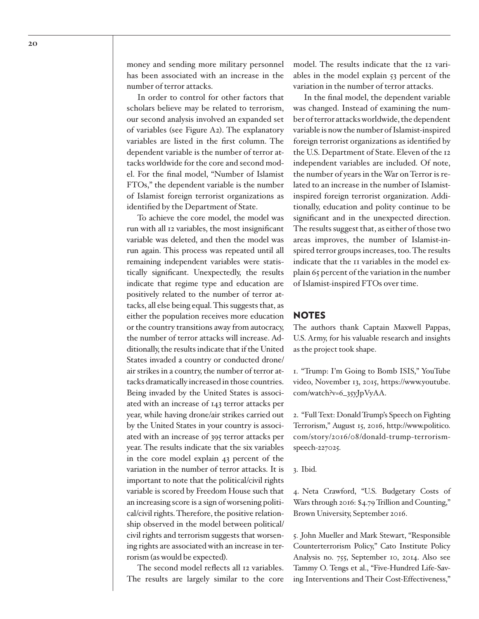money and sending more military personnel has been associated with an increase in the number of terror attacks.

In order to control for other factors that scholars believe may be related to terrorism, our second analysis involved an expanded set of variables (see Figure A2). The explanatory variables are listed in the first column. The dependent variable is the number of terror attacks worldwide for the core and second model. For the final model, "Number of Islamist FTOs," the dependent variable is the number of Islamist foreign terrorist organizations as identified by the Department of State.

To achieve the core model, the model was run with all 12 variables, the most insignificant variable was deleted, and then the model was run again. This process was repeated until all remaining independent variables were statistically significant. Unexpectedly, the results indicate that regime type and education are positively related to the number of terror attacks, all else being equal. This suggests that, as either the population receives more education or the country transitions away from autocracy, the number of terror attacks will increase. Additionally, the results indicate that if the United States invaded a country or conducted drone/ air strikes in a country, the number of terror attacks dramatically increased in those countries. Being invaded by the United States is associated with an increase of 143 terror attacks per year, while having drone/air strikes carried out by the United States in your country is associated with an increase of 395 terror attacks per year. The results indicate that the six variables in the core model explain 43 percent of the variation in the number of terror attacks. It is important to note that the political/civil rights variable is scored by Freedom House such that an increasing score is a sign of worsening political/civil rights. Therefore, the positive relationship observed in the model between political/ civil rights and terrorism suggests that worsening rights are associated with an increase in terrorism (as would be expected).

The second model reflects all 12 variables. The results are largely similar to the core

model. The results indicate that the 12 variables in the model explain 53 percent of the variation in the number of terror attacks.

In the final model, the dependent variable was changed. Instead of examining the number of terror attacks worldwide, the dependent variable is now the number of Islamist-inspired foreign terrorist organizations as identified by the U.S. Department of State. Eleven of the 12 independent variables are included. Of note, the number of years in the War on Terror is related to an increase in the number of Islamistinspired foreign terrorist organization. Additionally, education and polity continue to be significant and in the unexpected direction. The results suggest that, as either of those two areas improves, the number of Islamist-inspired terror groups increases, too. The results indicate that the 11 variables in the model explain 65 percent of the variation in the number of Islamist-inspired FTOs over time.

#### **NOTES**

The authors thank Captain Maxwell Pappas, U.S. Army, for his valuable research and insights as the project took shape.

<span id="page-19-0"></span>1. "Trump: I'm Going to Bomb ISIS," YouTube video, November 13, 2015, [https://www.youtube.](https://www.youtube.com/watch?v=6_35yJpVyAA) [com/watch?v=6\\_35yJpVyAA.](https://www.youtube.com/watch?v=6_35yJpVyAA)

<span id="page-19-1"></span>2. "Full Text: Donald Trump's Speech on Fighting Terrorism," August 15, 2016, http://www.politico. com/story/2016/08/donald-trump-terrorismspeech-227025.

<span id="page-19-2"></span>3. Ibid.

<span id="page-19-3"></span>4. Neta Crawford, "U.S. Budgetary Costs of Wars through 2016: \$4.79 Trillion and Counting," Brown University, September 2016.

<span id="page-19-4"></span>5. John Mueller and Mark Stewart, "Responsible Counterterrorism Policy," Cato Institute Policy Analysis no. 755, September 10, 2014. Also see Tammy O. Tengs et al., "Five-Hundred Life-Saving Interventions and Their Cost-Effectiveness,"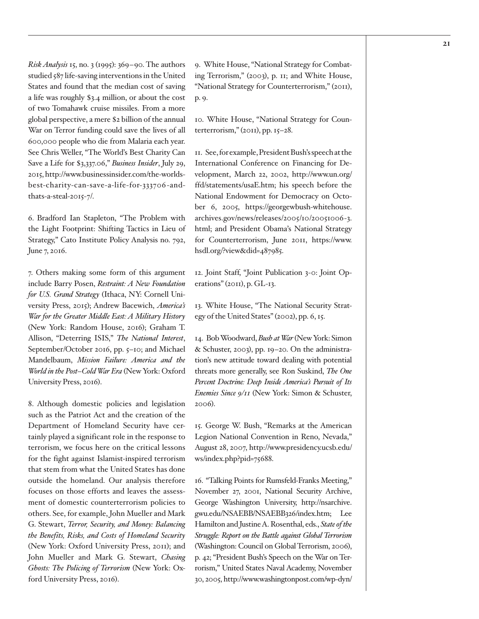*Risk Analysis* 15, no. 3 (1995): 369–90. The authors studied 587 life-saving interventions in the United States and found that the median cost of saving a life was roughly \$3.4 million, or about the cost of two Tomahawk cruise missiles. From a more global perspective, a mere \$2 billion of the annual War on Terror funding could save the lives of all 600,000 people who die from Malaria each year. See Chris Weller, "The World's Best Charity Can Save a Life for \$3,337.06," *Business Insider*, July 29, 2015, [http://www.businessinsider.com/the-worlds](http://www.businessinsider.com/the-worlds-best-charity-can-save-a-life-for-333706-and-thats-a-steal-2015-7/)[best-charity-can-save-a-life-for-333706 -and](http://www.businessinsider.com/the-worlds-best-charity-can-save-a-life-for-333706-and-thats-a-steal-2015-7/)[thats-a-steal-2015-7/.](http://www.businessinsider.com/the-worlds-best-charity-can-save-a-life-for-333706-and-thats-a-steal-2015-7/)

<span id="page-20-0"></span>6. Bradford Ian Stapleton, "The Problem with the Light Footprint: Shifting Tactics in Lieu of Strategy," Cato Institute Policy Analysis no. 792, June 7, 2016.

<span id="page-20-1"></span>7. Others making some form of this argument include Barry Posen, *Restraint: A New Foundation for U.S. Grand Strategy* (Ithaca, NY: Cornell University Press, 2015); Andrew Bacewich, *America's War for the Greater Middle East: A Military History* (New York: Random House, 2016); Graham T. Allison, "Deterring ISIS," *The National Interest*, September/October 2016, pp. 5–10; and Michael Mandelbaum, *Mission Failure: America and the World in the Post–Cold War Era* (New York: Oxford University Press, 2016).

<span id="page-20-2"></span>8. Although domestic policies and legislation such as the Patriot Act and the creation of the Department of Homeland Security have certainly played a significant role in the response to terrorism, we focus here on the critical lessons for the fight against Islamist-inspired terrorism that stem from what the United States has done outside the homeland. Our analysis therefore focuses on those efforts and leaves the assessment of domestic counterterrorism policies to others. See, for example, John Mueller and Mark G. Stewart, *Terror, Security, and Money: Balancing the Benefits, Risks, and Costs of Homeland Security* (New York: Oxford University Press, 2011); and John Mueller and Mark G. Stewart, *Chasing Ghosts: The Policing of Terrorism* (New York: Oxford University Press, 2016).

<span id="page-20-3"></span>9. White House, "National Strategy for Combating Terrorism," (2003), p. 11; and White House, "National Strategy for Counterterrorism," (2011), p. 9.

<span id="page-20-4"></span>10. White House, "National Strategy for Coun $t$ erterrorism," (2011), pp. 15–28.

<span id="page-20-5"></span>11. See, for example, President Bush's speech at the International Conference on Financing for Development, March 22, 2002, [http://www.un.org/](http://www.un.org/ffd/statements/usaE.htm) [ffd/statements/usaE.htm;](http://www.un.org/ffd/statements/usaE.htm) his speech before the National Endowment for Democracy on October 6, 2005, [https://georgewbush-whitehouse.](https://georgewbush-whitehouse.archives.gov/news/releases/2005/10/20051006-3.html) [archives.gov/news/releases/2005/10/20051006-3.](https://georgewbush-whitehouse.archives.gov/news/releases/2005/10/20051006-3.html) [html;](https://georgewbush-whitehouse.archives.gov/news/releases/2005/10/20051006-3.html) and President Obama's National Strategy for Counterterrorism, June 2011, [https://www.](https://www.hsdl.org/?view&did=487985) [hsdl.org/?view&did=487985](https://www.hsdl.org/?view&did=487985).

<span id="page-20-6"></span>12. Joint Staff, "Joint Publication 3-0: Joint Operations" (2011), p. GL-13.

<span id="page-20-7"></span>13. White House, "The National Security Strategy of the United States" (2002), pp. 6, 15.

<span id="page-20-8"></span>14. Bob Woodward, *Bush at War* (New York: Simon & Schuster, 2003), pp. 19–20. On the administration's new attitude toward dealing with potential threats more generally, see Ron Suskind, *The One Percent Doctrine: Deep Inside America's Pursuit of Its Enemies Since 9/11* (New York: Simon & Schuster, 2006).

<span id="page-20-9"></span>15. George W. Bush, "Remarks at the American Legion National Convention in Reno, Nevada," August 28, 2007, [http://www.presidency.ucsb.edu/](http://www.presidency.ucsb.edu/ws/index.php?pid=75688) [ws/index.php?pid=75688.](http://www.presidency.ucsb.edu/ws/index.php?pid=75688)

<span id="page-20-10"></span>16. "Talking Points for Rumsfeld-Franks Meeting," November 27, 2001, National Security Archive, George Washington University, [http://nsarchive.](http://nsarchive.gwu.edu/NSAEBB/NSAEBB326/index.htm) [gwu.edu/NSAEBB/NSAEBB326/index.htm](http://nsarchive.gwu.edu/NSAEBB/NSAEBB326/index.htm); Lee Hamilton and Justine A. Rosenthal, eds., *State of the Struggle: Report on the Battle against Global Terrorism* (Washington: Council on Global Terrorism, 2006), p. 42; "President Bush's Speech on the War on Terrorism," United States Naval Academy, November 30, 2005, [http://www.washingtonpost.com/wp-dyn/](http://www.washingtonpost.com/wp-dyn/content/article/2005/11/30/AR2005113000667.html)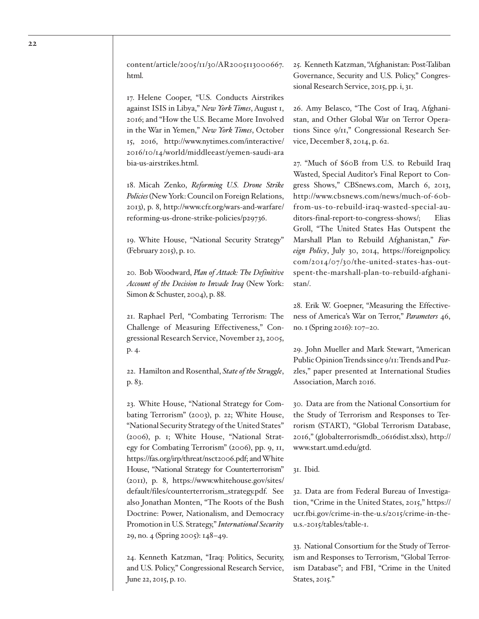[content/article/2005/11/30/AR2005113000667.](http://www.washingtonpost.com/wp-dyn/content/article/2005/11/30/AR2005113000667.html) [html](http://www.washingtonpost.com/wp-dyn/content/article/2005/11/30/AR2005113000667.html).

<span id="page-21-0"></span>17. Helene Cooper, "U.S. Conducts Airstrikes against ISIS in Libya," *New York Times*, August 1, 2016; and "How the U.S. Became More Involved in the War in Yemen," *New York Times*, October 15, 2016, [http://www.nytimes.com/interactive/](http://www.nytimes.com/interactive/2016/10/14/world/middleeast/yemen-saudi-arabia-us-airstrikes.html) [2016/10/14/world/middleeast/yemen-saudi-ara](http://www.nytimes.com/interactive/2016/10/14/world/middleeast/yemen-saudi-arabia-us-airstrikes.html)  [bia-us-airstrikes.html.](http://www.nytimes.com/interactive/2016/10/14/world/middleeast/yemen-saudi-arabia-us-airstrikes.html)

<span id="page-21-1"></span>18. Micah Zenko, *Reforming U.S. Drone Strike Policies* (New York: Council on Foreign Relations, 2013), p. 8, [http://www.cfr.org/wars-and-warfare/](http://www.cfr.org/wars-and-warfare/reforming-us-drone-strike-policies/p29736) [reforming-us-drone-strike-policies/p29736.](http://www.cfr.org/wars-and-warfare/reforming-us-drone-strike-policies/p29736)

<span id="page-21-2"></span>19. White House, "National Security Strategy" (February 2015), p. 10.

<span id="page-21-3"></span>20. Bob Woodward, *Plan of Attack: The Definitive Account of the Decision to Invade Iraq* (New York: Simon & Schuster, 2004), p. 88.

<span id="page-21-4"></span>21. Raphael Perl, "Combating Terrorism: The Challenge of Measuring Effectiveness," Congressional Research Service, November 23, 2005, p. 4.

<span id="page-21-5"></span>22. Hamilton and Rosenthal, *State of the Struggle*, p. 83.

<span id="page-21-6"></span>23. White House, "National Strategy for Combating Terrorism" (2003), p. 22; White House, "National Security Strategy of the United States" (2006), p. 1; White House, "National Strategy for Combating Terrorism" (2006), pp. 9, 11, <https://fas.org/irp/threat/nsct2006.pdf>; and White House, "National Strategy for Counterterrorism" (2011), p. 8, [https://www.whitehouse.gov/sites/](https://www.whitehouse.gov/sites/default/files/counterterrorism_strategy.pdf) [default/files/counterterrorism\\_strategy.pdf](https://www.whitehouse.gov/sites/default/files/counterterrorism_strategy.pdf). See also Jonathan Monten, "The Roots of the Bush Doctrine: Power, Nationalism, and Democracy Promotion in U.S. Strategy," *International Security* 29, no. 4 (Spring 2005): 148–49.

<span id="page-21-7"></span>24. Kenneth Katzman, "Iraq: Politics, Security, and U.S. Policy," Congressional Research Service, June 22, 2015, p. 10.

<span id="page-21-8"></span>25. Kenneth Katzman, "Afghanistan: Post-Taliban Governance, Security and U.S. Policy," Congressional Research Service, 2015, pp. i, 31.

<span id="page-21-9"></span>26. Amy Belasco, "The Cost of Iraq, Afghanistan, and Other Global War on Terror Operations Since 9/11," Congressional Research Service, December 8, 2014, p. 62.

<span id="page-21-10"></span>27. "Much of \$60B from U.S. to Rebuild Iraq Wasted, Special Auditor's Final Report to Congress Shows," CBSnews.com, March 6, 2013, [http://www.cbsnews.com/news/much-of-60b](http://www.cbsnews.com/news/much-of-60b-from-us-to-rebuild-iraq-wasted-special-auditors-final-report-to-congress-shows/)[from-us-to-rebuild-iraq-wasted-special-au](http://www.cbsnews.com/news/much-of-60b-from-us-to-rebuild-iraq-wasted-special-auditors-final-report-to-congress-shows/)[ditors-final-report-to-congress-shows/](http://www.cbsnews.com/news/much-of-60b-from-us-to-rebuild-iraq-wasted-special-auditors-final-report-to-congress-shows/); Elias Groll, "The United States Has Outspent the Marshall Plan to Rebuild Afghanistan," *Foreign Policy*, July 30, 2014, [https://foreignpolicy.](https://foreignpolicy.com/2014/07/30/the-united-states-has-outspent-the-marshall-plan-to-rebuild-afghanistan/) [com/2014/07/30/the-united-states-has-out](https://foreignpolicy.com/2014/07/30/the-united-states-has-outspent-the-marshall-plan-to-rebuild-afghanistan/)[spent-the-marshall-plan-to-rebuild-afghani](https://foreignpolicy.com/2014/07/30/the-united-states-has-outspent-the-marshall-plan-to-rebuild-afghanistan/)[stan/](https://foreignpolicy.com/2014/07/30/the-united-states-has-outspent-the-marshall-plan-to-rebuild-afghanistan/).

<span id="page-21-11"></span>28. Erik W. Goepner, "Measuring the Effectiveness of America's War on Terror," *Parameters* 46, no. 1 (Spring 2016): 107–20.

<span id="page-21-12"></span>29. John Mueller and Mark Stewart, "American Public Opinion Trends since 9/11: Trends and Puzzles," paper presented at International Studies Association, March 2016.

<span id="page-21-13"></span>30. Data are from the National Consortium for the Study of Terrorism and Responses to Terrorism (START), "Global Terrorism Database, 2016," (globalterrorismdb\_0616dist.xlsx), [http://](http://www.start.umd.edu/gtd) [www.start.umd.edu/gtd](http://www.start.umd.edu/gtd).

<span id="page-21-14"></span>31. Ibid.

<span id="page-21-15"></span>32. Data are from Federal Bureau of Investigation, "Crime in the United States, 2015," [https://](https://ucr.fbi.gov/crime-in-the-u.s/2015/crime-in-the-u.s.-2015/tables/table-1) [ucr.fbi.gov/crime-in-the-u.s/2015/crime-in-the](https://ucr.fbi.gov/crime-in-the-u.s/2015/crime-in-the-u.s.-2015/tables/table-1)[u.s.-2015/tables/table-1.](https://ucr.fbi.gov/crime-in-the-u.s/2015/crime-in-the-u.s.-2015/tables/table-1)

<span id="page-21-16"></span>33. National Consortium for the Study of Terrorism and Responses to Terrorism, "Global Terrorism Database"; and FBI, "Crime in the United States, 2015."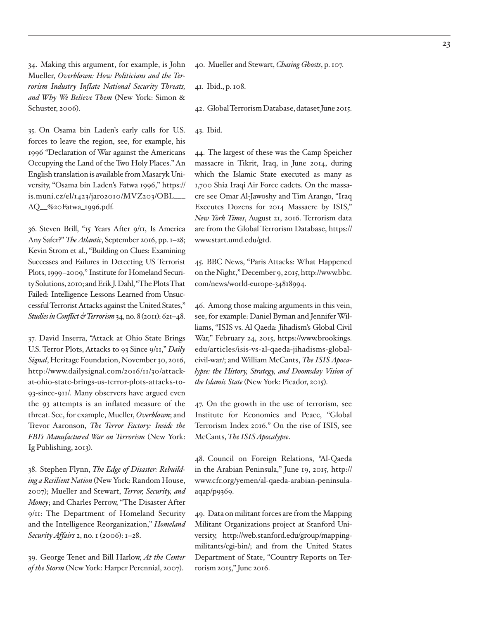<span id="page-22-0"></span>34. Making this argument, for example, is John Mueller, *Overblown: How Politicians and the Terrorism Industry Inflate National Security Threats, and Why We Believe Them* (New York: Simon & Schuster, 2006).

<span id="page-22-1"></span>35. On Osama bin Laden's early calls for U.S. forces to leave the region, see, for example, his 1996 "Declaration of War against the Americans Occupying the Land of the Two Holy Places." An English translation is available from Masaryk University, "Osama bin Laden's Fatwa 1996," [https://](https://is.muni.cz/el/1423/jaro2010/MVZ203/OBL___AQ__%20Fatwa_1996.pdf) [is.muni.cz/el/1423/jaro2010/MVZ203/OBL\\_\\_\\_](https://is.muni.cz/el/1423/jaro2010/MVZ203/OBL___AQ__%20Fatwa_1996.pdf) [AQ\\_\\_%20Fatwa\\_1996.pdf](https://is.muni.cz/el/1423/jaro2010/MVZ203/OBL___AQ__%20Fatwa_1996.pdf).

<span id="page-22-2"></span>36. Steven Brill, "15 Years After 9/11, Is America Any Safer?" *The Atlantic*, September 2016, pp. 1–28; Kevin Strom et al., "Building on Clues: Examining Successes and Failures in Detecting US Terrorist Plots, 1999–2009," Institute for Homeland Security Solutions, 2010; and Erik J. Dahl, "The Plots That Failed: Intelligence Lessons Learned from Unsuccessful Terrorist Attacks against the United States," *Studies in Conflict & Terrorism* 34, no. 8 (2011): 621–48.

<span id="page-22-3"></span>37. David Inserra, "Attack at Ohio State Brings U.S. Terror Plots, Attacks to 93 Since 9/11," *Daily Signal*, Heritage Foundation, November 30, 2016, http://www.dailysignal.com/2016/11/30/attackat-ohio-state-brings-us-terror-plots-attacks-to-93-since-911/. Many observers have argued even the 93 attempts is an inflated measure of the threat. See, for example, Mueller, *Overblown*; and Trevor Aaronson, *The Terror Factory: Inside the FBI's Manufactured War on Terrorism* (New York: Ig Publishing, 2013).

<span id="page-22-4"></span>38. Stephen Flynn, *The Edge of Disaster: Rebuilding a Resilient Nation* (New York: Random House, 2007); Mueller and Stewart, *Terror, Security, and Money*; and Charles Perrow, "The Disaster After 9/11: The Department of Homeland Security and the Intelligence Reorganization," *Homeland Security Affairs* 2, no. 1 (2006): 1–28.

<span id="page-22-5"></span>39. George Tenet and Bill Harlow, *At the Center of the Storm* (New York: Harper Perennial, 2007).

<span id="page-22-6"></span>40. Mueller and Stewart, *Chasing Ghosts*, p. 107.

<span id="page-22-7"></span>41. Ibid., p. 108.

<span id="page-22-8"></span>42. Global Terrorism Database, dataset June 2015.

<span id="page-22-9"></span>43. Ibid.

<span id="page-22-10"></span>44. The largest of these was the Camp Speicher massacre in Tikrit, Iraq, in June 2014, during which the Islamic State executed as many as 1,700 Shia Iraqi Air Force cadets. On the massacre see Omar Al-Jawoshy and Tim Arango, "Iraq Executes Dozens for 2014 Massacre by ISIS," *New York Times*, August 21, 2016. Terrorism data are from the Global Terrorism Database, [https://](https://www.start.umd.edu/gtd) [www.start.umd.edu/gtd](https://www.start.umd.edu/gtd).

<span id="page-22-11"></span>45. BBC News, "Paris Attacks: What Happened on the Night," December 9, 2015, [http://www.bbc.](http://www.bbc.com/news/world-europe-34818994) [com/news/world-europe-34818994](http://www.bbc.com/news/world-europe-34818994).

<span id="page-22-12"></span>46. Among those making arguments in this vein, see, for example: Daniel Byman and Jennifer Williams, "ISIS vs. Al Qaeda: Jihadism's Global Civil War," February 24, 2015, [https://www.brookings.](https://www.brookings.edu/articles/isis-vs-al-qaeda-jihadisms-global-civil-war/) [edu/articles/isis-vs-al-qaeda-jihadisms-global](https://www.brookings.edu/articles/isis-vs-al-qaeda-jihadisms-global-civil-war/)[civil-war/;](https://www.brookings.edu/articles/isis-vs-al-qaeda-jihadisms-global-civil-war/) and William McCants, *The ISIS Apocalypse: the History, Strategy, and Doomsday Vision of the Islamic State* (New York: Picador, 2015).

<span id="page-22-13"></span>47. On the growth in the use of terrorism, see Institute for Economics and Peace, "Global Terrorism Index 2016." On the rise of ISIS, see McCants, *The ISIS Apocalypse*.

<span id="page-22-14"></span>48. Council on Foreign Relations, "Al-Qaeda in the Arabian Peninsula," June 19, 2015, [http://](http://www.cfr.org/yemen/al-qaeda-arabian-peninsula-aqap/p9369) [www.cfr.org/yemen/al-qaeda-arabian-peninsula](http://www.cfr.org/yemen/al-qaeda-arabian-peninsula-aqap/p9369)[aqap/p9369.](http://www.cfr.org/yemen/al-qaeda-arabian-peninsula-aqap/p9369)

<span id="page-22-15"></span>49. Data on militant forces are from the Mapping Militant Organizations project at Stanford University, [http://web.stanford.edu/group/mapping](http://web.stanford.edu/group/mappingmilitants/cgi-bin/)[militants/cgi-bin/;](http://web.stanford.edu/group/mappingmilitants/cgi-bin/) and from the United States Department of State, "Country Reports on Terrorism 2015," June 2016.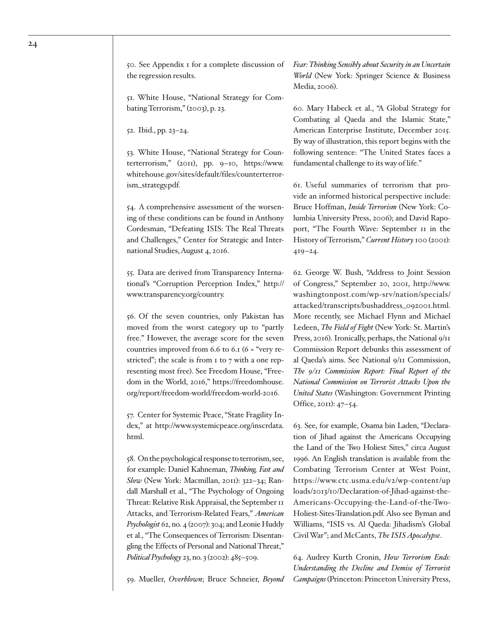<span id="page-23-0"></span>50. See Appendix 1 for a complete discussion of the regression results.

<span id="page-23-1"></span>51. White House, "National Strategy for Combating Terrorism," (2003), p. 23.

<span id="page-23-2"></span>52. Ibid., pp. 23–24.

<span id="page-23-3"></span>53. White House, "National Strategy for Counterterrorism," (2011), pp. 9–10, [https://www.](https://www.whitehouse.gov/sites/default/files/counterterrorism_strategy.pdf) [whitehouse.gov/sites/default/files/counterterror](https://www.whitehouse.gov/sites/default/files/counterterrorism_strategy.pdf)[ism\\_strategy.pdf](https://www.whitehouse.gov/sites/default/files/counterterrorism_strategy.pdf).

<span id="page-23-4"></span>54. A comprehensive assessment of the worsening of these conditions can be found in Anthony Cordesman, "Defeating ISIS: The Real Threats and Challenges," Center for Strategic and International Studies, August 4, 2016.

<span id="page-23-5"></span>55. Data are derived from Transparency International's "Corruption Perception Index," [http://](http://www.transparency.org/country) [www.transparency.org/country.](http://www.transparency.org/country)

<span id="page-23-6"></span>56. Of the seven countries, only Pakistan has moved from the worst category up to "partly free." However, the average score for the seven countries improved from  $6.6$  to  $6.1$   $(6 =$  "very restricted"; the scale is from 1 to 7 with a one representing most free). See Freedom House, "Freedom in the World, 2016," [https://freedomhouse.](https://freedomhouse.org/report/freedom-world/freedom-world-2016) [org/report/freedom-world/freedom-world-2016](https://freedomhouse.org/report/freedom-world/freedom-world-2016).

<span id="page-23-7"></span>57. Center for Systemic Peace, "State Fragility Index," at [http://www.systemicpeace.org/inscrdata.](http://www.systemicpeace.org/inscrdata.html) [html.](http://www.systemicpeace.org/inscrdata.html)

<span id="page-23-8"></span>58. On the psychological response to terrorism, see, for example: Daniel Kahneman, *Thinking, Fast and Slow* (New York: Macmillan, 2011): 322–34; Randall Marshall et al., "The Psychology of Ongoing Threat: Relative Risk Appraisal, the September 11 Attacks, and Terrorism-Related Fears," *American Psychologist* 62, no. 4 (2007): 304; and Leonie Huddy et al., "The Consequences of Terrorism: Disentangling the Effects of Personal and National Threat," *Political Psychology* 23, no. 3 (2002): 485–509.

<span id="page-23-9"></span>59. Mueller, *Overblown*; Bruce Schneier, *Beyond* 

*Fear: Thinking Sensibly about Security in an Uncertain World* (New York: Springer Science & Business Media, 2006).

<span id="page-23-10"></span>60. Mary Habeck et al., "A Global Strategy for Combating al Qaeda and the Islamic State," American Enterprise Institute, December 2015. By way of illustration, this report begins with the following sentence: "The United States faces a fundamental challenge to its way of life."

<span id="page-23-11"></span>61. Useful summaries of terrorism that provide an informed historical perspective include: Bruce Hoffman, *Inside Terrorism* (New York: Columbia University Press, 2006); and David Rapoport, "The Fourth Wave: September 11 in the History of Terrorism," *Current History* 100 (2001): 419–24.

<span id="page-23-12"></span>62. George W. Bush, "Address to Joint Session of Congress," September 20, 2001, [http://www.](http://www.washingtonpost.com/wp-srv/nation/specials/attacked/transcripts/bushaddress_092001.html) [washingtonpost.com/wp-srv/nation/specials/](http://www.washingtonpost.com/wp-srv/nation/specials/attacked/transcripts/bushaddress_092001.html) [attacked/transcripts/bushaddress\\_092001.html.](http://www.washingtonpost.com/wp-srv/nation/specials/attacked/transcripts/bushaddress_092001.html) More recently, see Michael Flynn and Michael Ledeen, *The Field of Fight* (New York: St. Martin's Press, 2016). Ironically, perhaps, the National 9/11 Commission Report debunks this assessment of al Qaeda's aims. See National 9/11 Commission, *The 9/11 Commission Report: Final Report of the National Commission on Terrorist Attacks Upon the United States* (Washington: Government Printing Office, 2011): 47–54.

<span id="page-23-13"></span>63. See, for example, Osama bin Laden, "Declaration of Jihad against the Americans Occupying the Land of the Two Holiest Sites," circa August 1996. An English translation is available from the Combating Terrorism Center at West Point, [https://www.ctc.usma.edu/v2/wp-content/up](https://www.ctc.usma.edu/v2/wp-content/uploads/2013/10/Declaration-of-Jihad-against-the-Americans-Occupying-the-Land-of-the-Two-Holiest-Sites-Translation.pdf)  [loads/2013/10/Declaration-of-Jihad-against-the-](https://www.ctc.usma.edu/v2/wp-content/uploads/2013/10/Declaration-of-Jihad-against-the-Americans-Occupying-the-Land-of-the-Two-Holiest-Sites-Translation.pdf)[Americans-Occupying-the-Land-of-the-Two-](https://www.ctc.usma.edu/v2/wp-content/uploads/2013/10/Declaration-of-Jihad-against-the-Americans-Occupying-the-Land-of-the-Two-Holiest-Sites-Translation.pdf)[Holiest-Sites-Translation.pdf.](https://www.ctc.usma.edu/v2/wp-content/uploads/2013/10/Declaration-of-Jihad-against-the-Americans-Occupying-the-Land-of-the-Two-Holiest-Sites-Translation.pdf) Also see Byman and Williams, "ISIS vs. Al Qaeda: Jihadism's Global Civil War"; and McCants, *The ISIS Apocalypse*.

<span id="page-23-14"></span>64. Audrey Kurth Cronin, *How Terrorism Ends: Understanding the Decline and Demise of Terrorist Campaigns* (Princeton: Princeton University Press,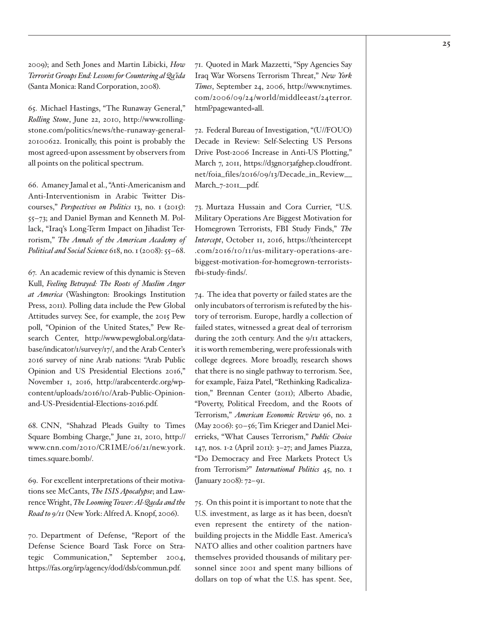2009); and Seth Jones and Martin Libicki, *How Terrorist Groups End: Lessons for Countering al Qa'ida* (Santa Monica: Rand Corporation, 2008).

<span id="page-24-0"></span>65. Michael Hastings, "The Runaway General," *Rolling Stone*, June 22, 2010, [http://www.rolling](http://www.rollingstone.com/politics/news/the-runaway-general-20100622)[stone.com/politics/news/the-runaway-general-](http://www.rollingstone.com/politics/news/the-runaway-general-20100622)[20100622](http://www.rollingstone.com/politics/news/the-runaway-general-20100622). Ironically, this point is probably the most agreed-upon assessment by observers from all points on the political spectrum.

<span id="page-24-1"></span>66. Amaney Jamal et al., "Anti-Americanism and Anti-Interventionism in Arabic Twitter Discourses," *Perspectives on Politics* 13, no. 1 (2015): 55–73; and Daniel Byman and Kenneth M. Pollack, "Iraq's Long-Term Impact on Jihadist Terrorism," *The Annals of the American Academy of Political and Social Science* 618, no. 1 (2008): 55–68.

<span id="page-24-2"></span>67. An academic review of this dynamic is Steven Kull, *Feeling Betrayed: The Roots of Muslim Anger at America* (Washington: Brookings Institution Press, 2011). Polling data include the Pew Global Attitudes survey. See, for example, the 2015 Pew poll, "Opinion of the United States," Pew Research Center, [http://www.pewglobal.org/data](http://www.pewglobal.org/database/indicator/1/survey/17/)[base/indicator/1/survey/17/](http://www.pewglobal.org/database/indicator/1/survey/17/), and the Arab Center's 2016 survey of nine Arab nations: "Arab Public Opinion and US Presidential Elections 2016," November 1, 2016, [http://arabcenterdc.org/wp](http://arabcenterdc.org/wp-content/%20uploads/2016/10/Arab-Public-Opinion-and-US-Presidential-Elections-2016.pdf)[content/uploads/2016/10/Arab-Public-Opinion](http://arabcenterdc.org/wp-content/%20uploads/2016/10/Arab-Public-Opinion-and-US-Presidential-Elections-2016.pdf)[and-US-Presidential-Elections-2016.pdf.](http://arabcenterdc.org/wp-content/%20uploads/2016/10/Arab-Public-Opinion-and-US-Presidential-Elections-2016.pdf)

<span id="page-24-3"></span>68. CNN, "Shahzad Pleads Guilty to Times Square Bombing Charge," June 21, 2010, [http://](http://www.cnn.com/2010/CRIME/06/21/new.york.times.square.bomb/) [www.cnn.com/2010/CRIME/06/21/new.york.](http://www.cnn.com/2010/CRIME/06/21/new.york.times.square.bomb/) [times.square.bomb/](http://www.cnn.com/2010/CRIME/06/21/new.york.times.square.bomb/).

<span id="page-24-4"></span>69. For excellent interpretations of their motivations see McCants, *The ISIS Apocalypse*; and Lawrence Wright, *The Looming Tower: Al-Qaeda and the Road to 9/11* (New York: Alfred A. Knopf, 2006).

<span id="page-24-5"></span>70. Department of Defense, "Report of the Defense Science Board Task Force on Strategic Communication," September 2004, <https://fas.org/irp/agency/dod/dsb/commun.pdf>.

<span id="page-24-6"></span>71. Quoted in Mark Mazzetti, "Spy Agencies Say Iraq War Worsens Terrorism Threat," *New York Times*, September 24, 2006, [http://www.nytimes.](http://www.nytimes.com/2006/09/24/world/middleeast/24terror.html?pagewanted=all) [com/2006/09/24/world/middleeast/24terror.](http://www.nytimes.com/2006/09/24/world/middleeast/24terror.html?pagewanted=all) [html?pagewanted=all](http://www.nytimes.com/2006/09/24/world/middleeast/24terror.html?pagewanted=all).

<span id="page-24-7"></span>72. Federal Bureau of Investigation, "(U//FOUO) Decade in Review: Self-Selecting US Persons Drive Post-2006 Increase in Anti-US Plotting," March 7, 2011, https://d3gnor3afghep.cloudfront. [net/foia\\_files/2016/09/13/Decade\\_in\\_Review\\_\\_](https://d3gn0r3afghep.cloudfront.net/foia_files/2016/09/13/Decade_in_Review__March_7-2011__pdf) [March\\_7-2011\\_\\_pdf.](https://d3gn0r3afghep.cloudfront.net/foia_files/2016/09/13/Decade_in_Review__March_7-2011__pdf)

<span id="page-24-8"></span>73. Murtaza Hussain and Cora Currier, "U.S. Military Operations Are Biggest Motivation for Homegrown Terrorists, FBI Study Finds," *The Intercept*, October 11, 2016, [https://theintercept](https://theintercept.com/2016/10/11/us-military-operations-are-biggest-motivation-for-homegrown-terrorists-fbi-study-finds/) [.com/2016/10/11/us-military-operations-are](https://theintercept.com/2016/10/11/us-military-operations-are-biggest-motivation-for-homegrown-terrorists-fbi-study-finds/)[biggest-motivation-for-homegrown-terrorists](https://theintercept.com/2016/10/11/us-military-operations-are-biggest-motivation-for-homegrown-terrorists-fbi-study-finds/)[fbi-study-finds/.](https://theintercept.com/2016/10/11/us-military-operations-are-biggest-motivation-for-homegrown-terrorists-fbi-study-finds/)

<span id="page-24-9"></span>74. The idea that poverty or failed states are the only incubators of terrorism is refuted by the history of terrorism. Europe, hardly a collection of failed states, witnessed a great deal of terrorism during the 20th century. And the 9/11 attackers, it is worth remembering, were professionals with college degrees. More broadly, research shows that there is no single pathway to terrorism. See, for example, Faiza Patel, "Rethinking Radicalization," Brennan Center (2011); Alberto Abadie, "Poverty, Political Freedom, and the Roots of Terrorism," *American Economic Review* 96, no. 2 (May 2006): 50–56; Tim Krieger and Daniel Meierrieks, "What Causes Terrorism," *Public Choice* 147, nos. 1-2 (April 2011): 3–27; and James Piazza, "Do Democracy and Free Markets Protect Us from Terrorism?" *International Politics* 45, no. 1 (January 2008): 72–91.

<span id="page-24-10"></span>75. On this point it is important to note that the U.S. investment, as large as it has been, doesn't even represent the entirety of the nationbuilding projects in the Middle East. America's NATO allies and other coalition partners have themselves provided thousands of military personnel since 2001 and spent many billions of dollars on top of what the U.S. has spent. See,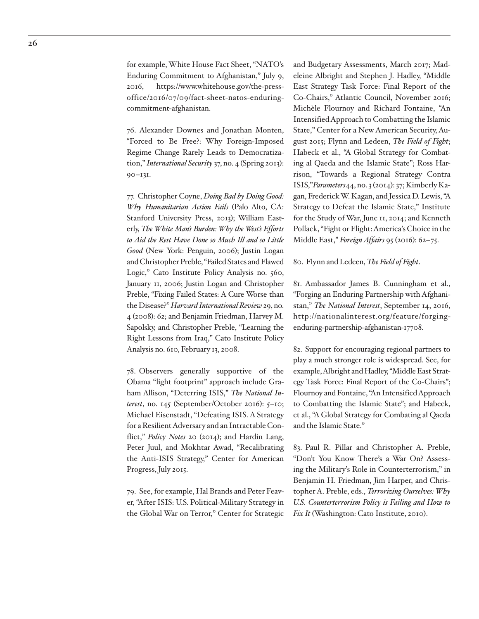<span id="page-25-0"></span>76. Alexander Downes and Jonathan Monten, "Forced to Be Free?: Why Foreign-Imposed Regime Change Rarely Leads to Democratization," *International Security* 37, no. 4 (Spring 2013): 90–131.

<span id="page-25-1"></span>77. Christopher Coyne, *Doing Bad by Doing Good: Why Humanitarian Action Fails* (Palo Alto, CA: Stanford University Press, 2013); William Easterly, *The White Man's Burden: Why the West's Efforts to Aid the Rest Have Done so Much Ill and so Little Good* (New York: Penguin, 2006); Justin Logan and Christopher Preble, "Failed States and Flawed Logic," Cato Institute Policy Analysis no. 560, January 11, 2006; Justin Logan and Christopher Preble, "Fixing Failed States: A Cure Worse than the Disease?" *Harvard International Review* 29, no. 4 (2008): 62; and Benjamin Friedman, Harvey M. Sapolsky, and Christopher Preble, "Learning the Right Lessons from Iraq," Cato Institute Policy Analysis no. 610, February 13, 2008.

<span id="page-25-2"></span>78. Observers generally supportive of the Obama "light footprint" approach include Graham Allison, "Deterring ISIS," *The National Interest*, no. 145 (September/October 2016): 5–10; Michael Eisenstadt, "Defeating ISIS. A Strategy for a Resilient Adversary and an Intractable Conflict," *Policy Notes* 20 (2014); and Hardin Lang, Peter Juul, and Mokhtar Awad, "Recalibrating the Anti-ISIS Strategy," Center for American Progress, July 2015.

<span id="page-25-3"></span>79. See, for example, Hal Brands and Peter Feaver, "After ISIS: U.S. Political-Military Strategy in the Global War on Terror," Center for Strategic

and Budgetary Assessments, March 2017; Madeleine Albright and Stephen J. Hadley, "Middle East Strategy Task Force: Final Report of the Co-Chairs," Atlantic Council, November 2016; Michèle Flournoy and Richard Fontaine, "An Intensified Approach to Combatting the Islamic State," Center for a New American Security, August 2015; Flynn and Ledeen, *The Field of Fight*; Habeck et al., "A Global Strategy for Combating al Qaeda and the Islamic State"; Ross Harrison, "Towards a Regional Strategy Contra ISIS,"*Parameters*44, no. 3 (2014): 37; Kimberly Kagan, Frederick W. Kagan, and Jessica D. Lewis, "A Strategy to Defeat the Islamic State," Institute for the Study of War, June 11, 2014; and Kenneth Pollack, "Fight or Flight: America's Choice in the Middle East," *Foreign Affairs* 95 (2016): 62–75.

<span id="page-25-4"></span>80. Flynn and Ledeen, *The Field of Fight*.

<span id="page-25-5"></span>81. Ambassador James B. Cunningham et al., "Forging an Enduring Partnership with Afghanistan," *The National Interest*, September 14, 2016, [http://nationalinterest.org/feature/forging](http://nationalinterest.org/feature/forging-enduring-partnership-afghanistan-17708)[enduring-partnership-afghanistan-17708](http://nationalinterest.org/feature/forging-enduring-partnership-afghanistan-17708).

<span id="page-25-6"></span>82. Support for encouraging regional partners to play a much stronger role is widespread. See, for example, Albright and Hadley, "Middle East Strategy Task Force: Final Report of the Co-Chairs"; Flournoy and Fontaine, "An Intensified Approach to Combatting the Islamic State"; and Habeck, et al., "A Global Strategy for Combating al Qaeda and the Islamic State."

<span id="page-25-7"></span>83. Paul R. Pillar and Christopher A. Preble, "Don't You Know There's a War On? Assessing the Military's Role in Counterterrorism," in Benjamin H. Friedman, Jim Harper, and Christopher A. Preble, eds., *Terrorizing Ourselves: Why U.S. Counterterrorism Policy is Failing and How to Fix It* (Washington: Cato Institute, 2010).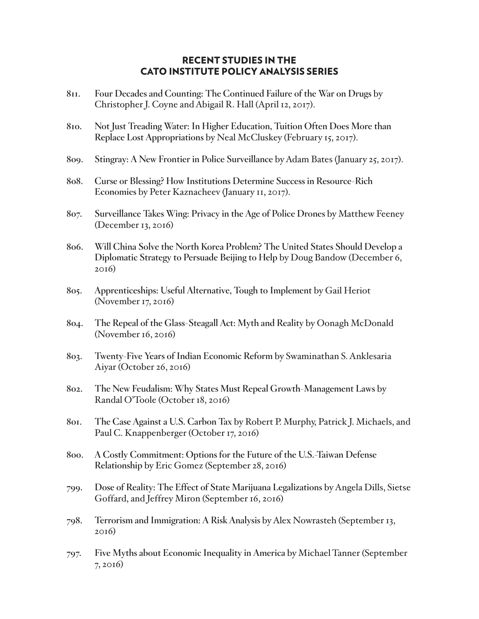# RECENT STUDIES IN THE CATO INSTITUTE POLICY ANALYSIS SERIES

- **811. Four Decades and Counting: The Continued Failure of the War on Drugs** by Christopher J. Coyne and Abigail R. Hall (April 12, 2017).
- **810. Not Just Treading Water: In Higher Education, Tuition Often Does More than Replace Lost Appropriations** by Neal McCluskey (February 15, 2017).
- **809. Stingray: A New Frontier in Police Surveillance** by Adam Bates (January 25, 2017).
- **808. Curse or Blessing? How Institutions Determine Success in Resource-Rich Economies** by Peter Kaznacheev (January 11, 2017).
- **807. Surveillance Takes Wing: Privacy in the Age of Police Drones** by Matthew Feeney (December 13, 2016)
- **806. Will China Solve the North Korea Problem? The United States Should Develop a Diplomatic Strategy to Persuade Beijing to Help** by Doug Bandow (December 6, 2016)
- **805. Apprenticeships: Useful Alternative, Tough to Implement** by Gail Heriot (November 17, 2016)
- **804. The Repeal of the Glass-Steagall Act: Myth and Reality** by Oonagh McDonald (November 16, 2016)
- **803. Twenty-Five Years of Indian Economic Reform** by Swaminathan S. Anklesaria Aiyar (October 26, 2016)
- **802. The New Feudalism: Why States Must Repeal Growth-Management Laws** by Randal O'Toole (October 18, 2016)
- **801. The Case Against a U.S. Carbon Tax** by Robert P. Murphy, Patrick J. Michaels, and Paul C. Knappenberger (October 17, 2016)
- **800. A Costly Commitment: Options for the Future of the U.S.-Taiwan Defense Relationship** by Eric Gomez (September 28, 2016)
- **799. Dose of Reality: The Effect of State Marijuana Legalizations** by Angela Dills, Sietse Goffard, and Jeffrey Miron (September 16, 2016)
- **798. Terrorism and Immigration: A Risk Analysis** by Alex Nowrasteh (September 13, 2016)
- **797. Five Myths about Economic Inequality in America** by Michael Tanner (September 7, 2016)